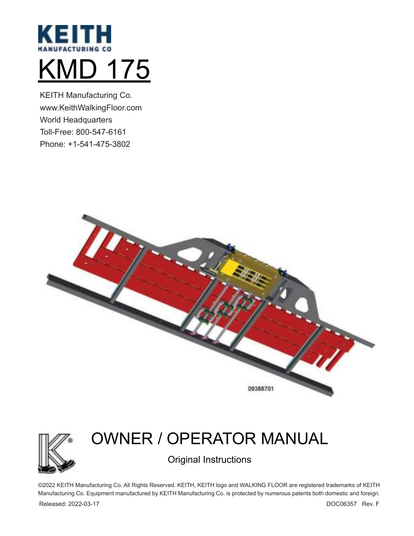

KEITH Manufacturing Co. www.KeithWalkingFloor.com World Headquarters Toll-Free: 800-547-6161 Phone: +1-541-475-3802





# OWNER / OPERATOR MANUAL

Original Instructions

©2022 KEITH Manufacturing Co. All Rights Reserved. KEITH, KEITH logo and WALKING FLOOR are registered trademarks of KEITH Manufacturing Co. Equipment manufactured by KEITH Manufacturing Co. is protected by numerous patents both domestic and foreign.

Released: 2022-03-17 DOC06357 Rev. F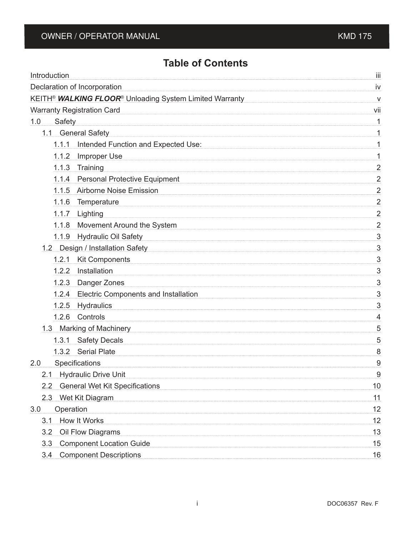## **Table of Contents**

| Introduction                                                                                  | Ш                         |
|-----------------------------------------------------------------------------------------------|---------------------------|
| Declaration of Incorporation                                                                  | iv                        |
| KEITH <sup>®</sup> WALKING FLOOR <sup>®</sup> Unloading System Limited Warranty               | $\overline{\mathsf{v}}$   |
| <b>Warranty Registration Card</b>                                                             | vii                       |
| 1.0<br>Safety                                                                                 | 1                         |
| 1.1 General Safety                                                                            |                           |
| 1.1.1 Intended Function and Expected Use:                                                     | 1                         |
| 1.1.2<br>Improper Use                                                                         | 1                         |
| 1.1.3 Training                                                                                | $\overline{2}$            |
| 1.1.4 Personal Protective Equipment                                                           | $\overline{\phantom{0}2}$ |
| 1.1.5 Airborne Noise Emission                                                                 | $\overline{2}$            |
| 1.1.6<br>Temperature                                                                          | $\overline{2}$            |
| 1.1.7 Lighting                                                                                | $\frac{2}{\pi}$           |
| 1.1.8 Movement Around the System                                                              | $\overline{2}$            |
| 1.1.9 Hydraulic Oil Safety                                                                    | $\overline{3}$            |
| 1.2 Design / Installation Safety Manuscriptum Australian Inc. 2. Design / Installation Safety | 3                         |
| 1.2.1 Kit Components                                                                          | $\overline{3}$            |
| Installation<br>1.2.2                                                                         | $\overline{3}$            |
| 1.2.3 Danger Zones                                                                            | $\overline{3}$            |
| 1.2.4 Electric Components and Installation                                                    | $\frac{3}{2}$             |
| 1.2.5 Hydraulics                                                                              | 3                         |
| 1.2.6 Controls                                                                                | $\frac{4}{2}$             |
| 1.3 Marking of Machinery                                                                      | 5                         |
| 1.3.1 Safety Decals                                                                           | $\overline{5}$            |
| 1.3.2 Serial Plate                                                                            | 8                         |
| Specifications<br>2.0                                                                         | 9                         |
| 2.1 Hydraulic Drive Unit                                                                      | 9                         |
| 2.2 General Wet Kit Specifications                                                            | 10                        |
| 2.3 Wet Kit Diagram                                                                           | 11                        |
| Operation<br>3.0                                                                              | 12                        |
| 3.1 How It Works                                                                              | 12                        |
| Oil Flow Diagrams<br>3.2                                                                      | 13                        |
| <b>Component Location Guide</b><br>3.3                                                        | 15                        |
| 3.4 Component Descriptions                                                                    | 16                        |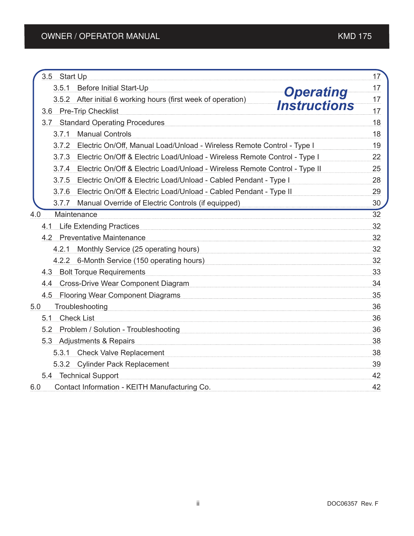| 3.5 Start Up                                                                        | 17     |
|-------------------------------------------------------------------------------------|--------|
| 3.5.1 Before Initial Start-Up                                                       | 17     |
| <b>Operating</b><br>3.5.2 After initial 6 working hours (first week of operation)   | 17     |
| <i><b>Instructions</b></i><br>3.6 Pre-Trip Checklist                                | 17     |
| 3.7 Standard Operating Procedures                                                   | 18     |
| <b>Manual Controls</b><br>3.7.1                                                     | 18     |
| 3.7.2 Electric On/Off, Manual Load/Unload - Wireless Remote Control - Type I        | 19     |
| 3.7.3 Electric On/Off & Electric Load/Unload - Wireless Remote Control - Type I     | 22     |
| Electric On/Off & Electric Load/Unload - Wireless Remote Control - Type II<br>3.7.4 | 25     |
| 3.7.5 Electric On/Off & Electric Load/Unload - Cabled Pendant - Type I              | 28     |
| 3.7.6 Electric On/Off & Electric Load/Unload - Cabled Pendant - Type II             | 29     |
| 3.7.7 Manual Override of Electric Controls (if equipped)                            | 30     |
| Maintenance<br>4.0                                                                  | $32\,$ |
| 4.1 Life Extending Practices                                                        | 32     |
| 4.2 Preventative Maintenance                                                        | 32     |
| 4.2.1 Monthly Service (25 operating hours)                                          | 32     |
| 4.2.2 6-Month Service (150 operating hours)                                         | 32     |
| 4.3 Bolt Torque Requirements                                                        | 33     |
| 4.4 Cross-Drive Wear Component Diagram                                              | 34     |
| 4.5 Flooring Wear Component Diagrams                                                | 35     |
| Troubleshooting<br>5.0                                                              | 36     |
| 5.1 Check List                                                                      | 36     |
| Problem / Solution - Troubleshooting<br>5.2                                         | 36     |
| 5.3 Adjustments & Repairs                                                           | 38     |
| 5.3.1 Check Valve Replacement                                                       | 38     |
| 5.3.2 Cylinder Pack Replacement                                                     | 39     |
| 5.4 Technical Support                                                               | 42     |
| Contact Information - KEITH Manufacturing Co.<br>6.0                                | 42     |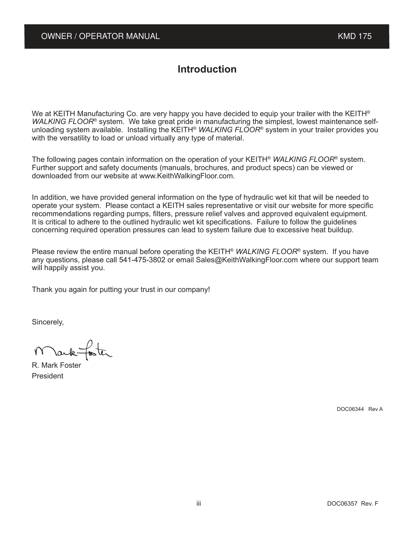## **Introduction**

We at KEITH Manufacturing Co. are very happy you have decided to equip your trailer with the KEITH<sup>®</sup> WALKING FLOOR<sup>®</sup> system. We take great pride in manufacturing the simplest, lowest maintenance selfunloading system available. Installing the KEITH® *WALKING FLOOR*® system in your trailer provides you with the versatility to load or unload virtually any type of material.

The following pages contain information on the operation of your KEITH<sup>®</sup> WALKING FLOOR<sup>®</sup> system. Further support and safety documents (manuals, brochures, and product specs) can be viewed or downloaded from our website at www.KeithWalkingFloor.com.

In addition, we have provided general information on the type of hydraulic wet kit that will be needed to operate your system. Please contact a KEITH sales representative or visit our website for more specific recommendations regarding pumps, filters, pressure relief valves and approved equivalent equipment. It is critical to adhere to the outlined hydraulic wet kit specifications. Failure to follow the guidelines concerning required operation pressures can lead to system failure due to excessive heat buildup.

Please review the entire manual before operating the KEITH® *WALKING FLOOR*® system. If you have any questions, please call 541-475-3802 or email Sales@KeithWalkingFloor.com where our support team will happily assist you.

Thank you again for putting your trust in our company!

Sincerely,

forter ark-

R. Mark Foster President

DOC06344 Rev A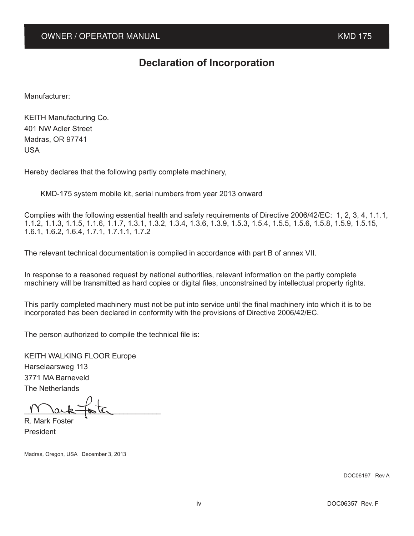## **Declaration of Incorporation**

Manufacturer:

KEITH Manufacturing Co. 401 NW Adler Street Madras, OR 97741 USA

Hereby declares that the following partly complete machinery,

KMD-175 system mobile kit, serial numbers from year 2013 onward

Complies with the following essential health and safety requirements of Directive 2006/42/EC: 1, 2, 3, 4, 1.1.1, 1.1.2, 1.1.3, 1.1.5, 1.1.6, 1.1.7, 1.3.1, 1.3.2, 1.3.4, 1.3.6, 1.3.9, 1.5.3, 1.5.4, 1.5.5, 1.5.6, 1.5.8, 1.5.9, 1.5.15, 1.6.1, 1.6.2, 1.6.4, 1.7.1, 1.7.1.1, 1.7.2

The relevant technical documentation is compiled in accordance with part B of annex VII.

In response to a reasoned request by national authorities, relevant information on the partly complete machinery will be transmitted as hard copies or digital files, unconstrained by intellectual property rights.

This partly completed machinery must not be put into service until the final machinery into which it is to be incorporated has been declared in conformity with the provisions of Directive 2006/42/EC.

The person authorized to compile the technical file is:

KEITH WALKING FLOOR Europe Harselaarsweg 113 3771 MA Barneveld The Netherlands

 $\frac{11 \text{ l} \text{a} \cdot \text{c}}{1}$ 

R. Mark Foster President

Madras, Oregon, USA December 3, 2013

DOC06197 Rev A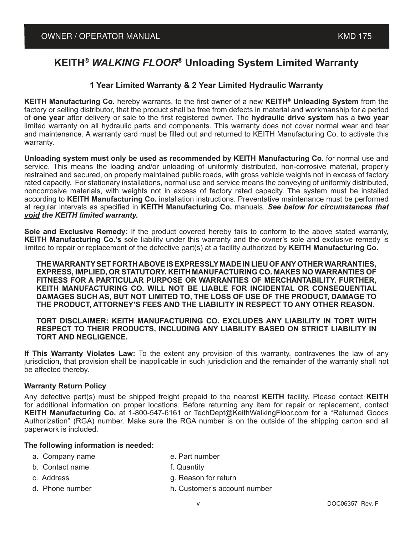## **KEITH®** *WALKING FLOOR***® Unloading System Limited Warranty**

#### **1 Year Limited Warranty & 2 Year Limited Hydraulic Warranty**

**KEITH Manufacturing Co.** hereby warrants, to the first owner of a new **KEITH® Unloading System** from the factory or selling distributor, that the product shall be free from defects in material and workmanship for a period of **one year** after delivery or sale to the first registered owner. The **hydraulic drive system** has a **two year**  limited warranty on all hydraulic parts and components. This warranty does not cover normal wear and tear and maintenance. A warranty card must be filled out and returned to KEITH Manufacturing Co. to activate this warranty.

**Unloading system must only be used as recommended by KEITH Manufacturing Co.** for normal use and service. This means the loading and/or unloading of uniformly distributed, non-corrosive material, properly restrained and secured, on properly maintained public roads, with gross vehicle weights not in excess of factory rated capacity. For stationary installations, normal use and service means the conveying of uniformly distributed, noncorrosive materials, with weights not in excess of factory rated capacity. The system must be installed according to **KEITH Manufacturing Co.** installation instructions. Preventative maintenance must be performed at regular intervals as specified in **KEITH Manufacturing Co.** manuals. *See below for circumstances that void the KEITH limited warranty.*

**Sole and Exclusive Remedy:** If the product covered hereby fails to conform to the above stated warranty, **KEITH Manufacturing Co.'s** sole liability under this warranty and the owner's sole and exclusive remedy is limited to repair or replacement of the defective part(s) at a facility authorized by **KEITH Manufacturing Co.**

**THE WARRANTY SET FORTH ABOVE IS EXPRESSLY MADE IN LIEU OF ANY OTHER WARRANTIES, EXPRESS, IMPLIED, OR STATUTORY. KEITH MANUFACTURING CO. MAKES NO WARRANTIES OF FITNESS FOR A PARTICULAR PURPOSE OR WARRANTIES OF MERCHANTABILITY. FURTHER, KEITH MANUFACTURING CO. WILL NOT BE LIABLE FOR INCIDENTAL OR CONSEQUENTIAL DAMAGES SUCH AS, BUT NOT LIMITED TO, THE LOSS OF USE OF THE PRODUCT, DAMAGE TO THE PRODUCT, ATTORNEY'S FEES AND THE LIABILITY IN RESPECT TO ANY OTHER REASON.**

**TORT DISCLAIMER: KEITH MANUFACTURING CO. EXCLUDES ANY LIABILITY IN TORT WITH RESPECT TO THEIR PRODUCTS, INCLUDING ANY LIABILITY BASED ON STRICT LIABILITY IN TORT AND NEGLIGENCE.**

**If This Warranty Violates Law:** To the extent any provision of this warranty, contravenes the law of any jurisdiction, that provision shall be inapplicable in such jurisdiction and the remainder of the warranty shall not be affected thereby.

#### **Warranty Return Policy**

Any defective part(s) must be shipped freight prepaid to the nearest **KEITH** facility. Please contact **KEITH** for additional information on proper locations. Before returning any item for repair or replacement, contact **KEITH Manufacturing Co.** at 1-800-547-6161 or TechDept@KeithWalkingFloor.com for a "Returned Goods Authorization" (RGA) number. Make sure the RGA number is on the outside of the shipping carton and all paperwork is included.

#### **The following information is needed:**

- a. Company name e. Part number
	-
- b. Contact name f. Quantity
- 
- c. Address g. Reason for return
- 
- d. Phone number h. Customer's account number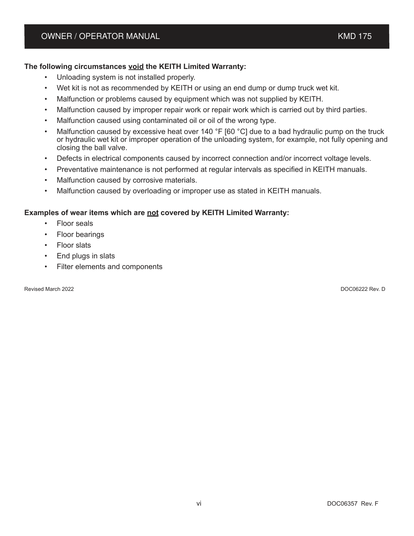#### **The following circumstances void the KEITH Limited Warranty:**

- Unloading system is not installed properly.
- Wet kit is not as recommended by KEITH or using an end dump or dump truck wet kit.
- Malfunction or problems caused by equipment which was not supplied by KEITH.
- Malfunction caused by improper repair work or repair work which is carried out by third parties.
- Malfunction caused using contaminated oil or oil of the wrong type.
- Malfunction caused by excessive heat over 140  $\degree$ F [60  $\degree$ C] due to a bad hydraulic pump on the truck or hydraulic wet kit or improper operation of the unloading system, for example, not fully opening and closing the ball valve.
- Defects in electrical components caused by incorrect connection and/or incorrect voltage levels.
- Preventative maintenance is not performed at regular intervals as specified in KEITH manuals.
- Malfunction caused by corrosive materials.
- Malfunction caused by overloading or improper use as stated in KEITH manuals.

#### **Examples of wear items which are not covered by KEITH Limited Warranty:**

- Floor seals
- Floor bearings
- Floor slats
- End plugs in slats
- Filter elements and components

Revised March 2022 DOC06222 Rev. D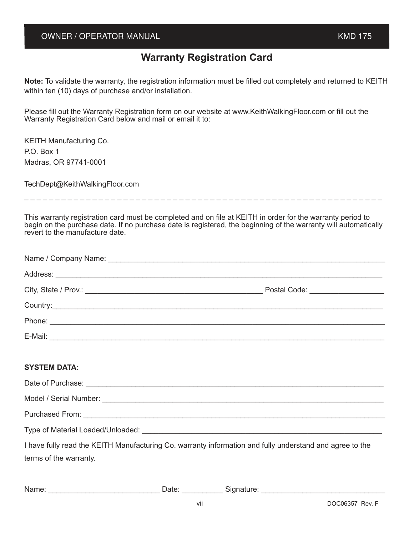#### OWNER / OPERATOR MANUAL **And Contain the Container of the Container Container and Container American Container American Container and Container and Container and Container and Container and Container and Container and Cont**

## **Warranty Registration Card**

**Note:** To validate the warranty, the registration information must be filled out completely and returned to KEITH within ten (10) days of purchase and/or installation.

Please fill out the Warranty Registration form on our website at www.KeithWalkingFloor.com or fill out the Warranty Registration Card below and mail or email it to:

| <b>KEITH Manufacturing Co.</b> |
|--------------------------------|
| P.O. Box 1                     |
| Madras, OR 97741-0001          |

TechDept@KeithWalkingFloor.com

\_ \_ \_ \_ \_ \_ \_ \_ \_ \_ \_ \_ \_ \_ \_ \_ \_ \_ \_ \_ \_ \_ \_ \_ \_ \_ \_ \_ \_ \_ \_ \_ \_ \_ \_ \_ \_ \_ \_ \_ \_ \_ \_ \_ \_ \_ \_ \_ \_ \_ \_ \_ \_ \_ \_ \_ \_ \_

This warranty registration card must be completed and on file at KEITH in order for the warranty period to begin on the purchase date. If no purchase date is registered, the beginning of the warranty will automatically revert to the manufacture date.

| Postal Code: _____________________ |
|------------------------------------|
|                                    |
|                                    |
|                                    |
|                                    |

#### **SYSTEM DATA:**

| Date of Purchase: <u>contract and the set of purchase</u> and the set of purchase and the set of the set of the set of the set of the set of the set of the set of the set of the set of the set of the set of the set of the set o |
|-------------------------------------------------------------------------------------------------------------------------------------------------------------------------------------------------------------------------------------|
|                                                                                                                                                                                                                                     |
| Purchased From: New York Strategy Purchased From:                                                                                                                                                                                   |
| Type of Material Loaded/Unloaded:                                                                                                                                                                                                   |
| I have fully read the KEITH Manufacturing Co. warranty information and fully understand and agree to the                                                                                                                            |

terms of the warranty.

Name: The Contract Contract Contract Contract Contract Contract Contract Contract Contract Contract Contract Contract Contract Contract Contract Contract Contract Contract Contract Contract Contract Contract Contract Contr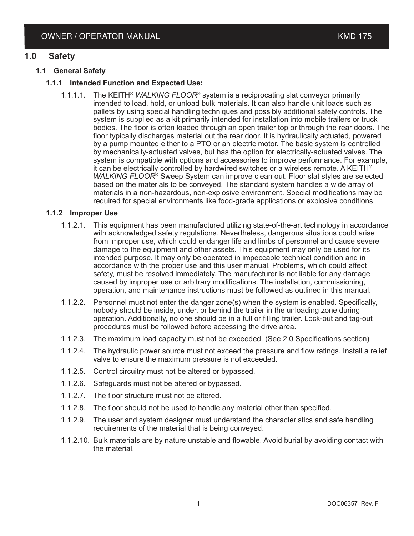#### **1.0 Safety**

#### **1.1 General Safety**

#### **1.1.1 Intended Function and Expected Use:**

1.1.1.1. The KEITH® *WALKING FLOOR*® system is a reciprocating slat conveyor primarily intended to load, hold, or unload bulk materials. It can also handle unit loads such as pallets by using special handling techniques and possibly additional safety controls. The system is supplied as a kit primarily intended for installation into mobile trailers or truck bodies. The floor is often loaded through an open trailer top or through the rear doors. The floor typically discharges material out the rear door. It is hydraulically actuated, powered by a pump mounted either to a PTO or an electric motor. The basic system is controlled by mechanically-actuated valves, but has the option for electrically-actuated valves. The system is compatible with options and accessories to improve performance. For example, it can be electrically controlled by hardwired switches or a wireless remote. A KEITH<sup>®</sup> WALKING FLOOR<sup>®</sup> Sweep System can improve clean out. Floor slat styles are selected based on the materials to be conveyed. The standard system handles a wide array of materials in a non-hazardous, non-explosive environment. Special modifications may be required for special environments like food-grade applications or explosive conditions.

#### **1.1.2 Improper Use**

- 1.1.2.1. This equipment has been manufactured utilizing state-of-the-art technology in accordance with acknowledged safety regulations. Nevertheless, dangerous situations could arise from improper use, which could endanger life and limbs of personnel and cause severe damage to the equipment and other assets. This equipment may only be used for its intended purpose. It may only be operated in impeccable technical condition and in accordance with the proper use and this user manual. Problems, which could affect safety, must be resolved immediately. The manufacturer is not liable for any damage caused by improper use or arbitrary modifications. The installation, commissioning, operation, and maintenance instructions must be followed as outlined in this manual.
- 1.1.2.2. Personnel must not enter the danger zone(s) when the system is enabled. Specifically, nobody should be inside, under, or behind the trailer in the unloading zone during operation. Additionally, no one should be in a full or filling trailer. Lock-out and tag-out procedures must be followed before accessing the drive area.
- 1.1.2.3. The maximum load capacity must not be exceeded. (See 2.0 Specifications section)
- 1.1.2.4. The hydraulic power source must not exceed the pressure and flow ratings. Install a relief valve to ensure the maximum pressure is not exceeded.
- 1.1.2.5. Control circuitry must not be altered or bypassed.
- 1.1.2.6. Safeguards must not be altered or bypassed.
- 1.1.2.7. The floor structure must not be altered.
- 1.1.2.8. The floor should not be used to handle any material other than specified.
- 1.1.2.9. The user and system designer must understand the characteristics and safe handling requirements of the material that is being conveyed.
- 1.1.2.10. Bulk materials are by nature unstable and flowable. Avoid burial by avoiding contact with the material.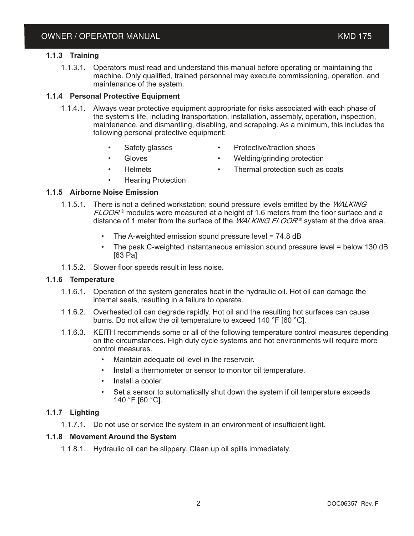#### **1.1.3 Training**

1.1.3.1. Operators must read and understand this manual before operating or maintaining the machine. Only qualified, trained personnel may execute commissioning, operation, and maintenance of the system.

#### **1.1.4 Personal Protective Equipment**

- 1.1.4.1. Always wear protective equipment appropriate for risks associated with each phase of the system's life, including transportation, installation, assembly, operation, inspection, maintenance, and dismantling, disabling, and scrapping. As a minimum, this includes the following personal protective equipment:
	-
	- Safety glasses Protective/traction shoes
		- Gloves Welding/grinding protection
	- Helmets **in Thermal protection such as coats**
	-
	- Hearing Protection

#### **1.1.5 Airborne Noise Emission**

- 1.1.5.1. There is not a defined workstation; sound pressure levels emitted by the *WALKING*  ${\it FLOOR}$ ® modules were measured at a height of 1.6 meters from the floor surface and a distance of 1 meter from the surface of the *WALKING FLOOR*® system at the drive area.
	- The A-weighted emission sound pressure level =  $74.8$  dB
	- The peak C-weighted instantaneous emission sound pressure level = below 130 dB [63 Pa]
- 1.1.5.2. Slower floor speeds result in less noise.

#### **1.1.6 Temperature**

- 1.1.6.1. Operation of the system generates heat in the hydraulic oil. Hot oil can damage the internal seals, resulting in a failure to operate.
- 1.1.6.2. Overheated oil can degrade rapidly. Hot oil and the resulting hot surfaces can cause burns. Do not allow the oil temperature to exceed 140 °F [60 °C].
- 1.1.6.3. KEITH recommends some or all of the following temperature control measures depending on the circumstances. High duty cycle systems and hot environments will require more control measures.
	- Maintain adequate oil level in the reservoir.
	- Install a thermometer or sensor to monitor oil temperature.
	- Install a cooler.
	- Set a sensor to automatically shut down the system if oil temperature exceeds 140 °F [60 °C].

#### **1.1.7 Lighting**

1.1.7.1. Do not use or service the system in an environment of insufficient light.

#### **1.1.8 Movement Around the System**

1.1.8.1. Hydraulic oil can be slippery. Clean up oil spills immediately.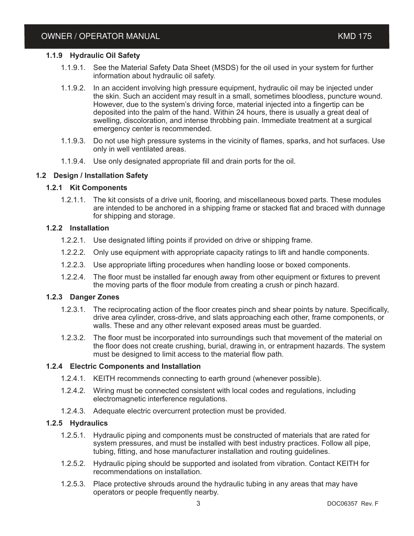#### **1.1.9 Hydraulic Oil Safety**

- 1.1.9.1. See the Material Safety Data Sheet (MSDS) for the oil used in your system for further information about hydraulic oil safety.
- 1.1.9.2. In an accident involving high pressure equipment, hydraulic oil may be injected under the skin. Such an accident may result in a small, sometimes bloodless, puncture wound. However, due to the system's driving force, material injected into a fingertip can be deposited into the palm of the hand. Within 24 hours, there is usually a great deal of swelling, discoloration, and intense throbbing pain. Immediate treatment at a surgical emergency center is recommended.
- 1.1.9.3. Do not use high pressure systems in the vicinity of flames, sparks, and hot surfaces. Use only in well ventilated areas.
- 1.1.9.4. Use only designated appropriate fill and drain ports for the oil.

#### **1.2 Design / Installation Safety**

#### **1.2.1 Kit Components**

1.2.1.1. The kit consists of a drive unit, flooring, and miscellaneous boxed parts. These modules are intended to be anchored in a shipping frame or stacked flat and braced with dunnage for shipping and storage.

#### **1.2.2 Installation**

- 1.2.2.1. Use designated lifting points if provided on drive or shipping frame.
- 1.2.2.2. Only use equipment with appropriate capacity ratings to lift and handle components.
- 1.2.2.3. Use appropriate lifting procedures when handling loose or boxed components.
- 1.2.2.4. The floor must be installed far enough away from other equipment or fixtures to prevent the moving parts of the floor module from creating a crush or pinch hazard.

#### **1.2.3 Danger Zones**

- 1.2.3.1. The reciprocating action of the floor creates pinch and shear points by nature. Specifically, drive area cylinder, cross-drive, and slats approaching each other, frame components, or walls. These and any other relevant exposed areas must be guarded.
- 1.2.3.2. The floor must be incorporated into surroundings such that movement of the material on the floor does not create crushing, burial, drawing in, or entrapment hazards. The system must be designed to limit access to the material flow path.

#### **1.2.4 Electric Components and Installation**

- 1.2.4.1. KEITH recommends connecting to earth ground (whenever possible).
- 1.2.4.2. Wiring must be connected consistent with local codes and regulations, including electromagnetic interference regulations.
- 1.2.4.3. Adequate electric overcurrent protection must be provided.

#### **1.2.5 Hydraulics**

- 1.2.5.1. Hydraulic piping and components must be constructed of materials that are rated for system pressures, and must be installed with best industry practices. Follow all pipe, tubing, fitting, and hose manufacturer installation and routing guidelines.
- 1.2.5.2. Hydraulic piping should be supported and isolated from vibration. Contact KEITH for recommendations on installation.
- 1.2.5.3. Place protective shrouds around the hydraulic tubing in any areas that may have operators or people frequently nearby.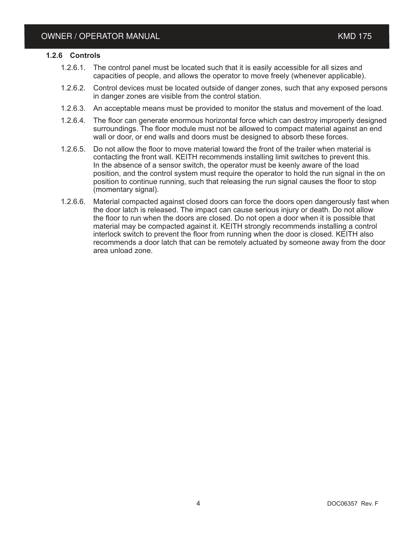#### **1.2.6 Controls**

- 1.2.6.1. The control panel must be located such that it is easily accessible for all sizes and capacities of people, and allows the operator to move freely (whenever applicable).
- 1.2.6.2. Control devices must be located outside of danger zones, such that any exposed persons in danger zones are visible from the control station.
- 1.2.6.3. An acceptable means must be provided to monitor the status and movement of the load.
- 1.2.6.4. The floor can generate enormous horizontal force which can destroy improperly designed surroundings. The floor module must not be allowed to compact material against an end wall or door, or end walls and doors must be designed to absorb these forces.
- 1.2.6.5. Do not allow the floor to move material toward the front of the trailer when material is contacting the front wall. KEITH recommends installing limit switches to prevent this. In the absence of a sensor switch, the operator must be keenly aware of the load position, and the control system must require the operator to hold the run signal in the on position to continue running, such that releasing the run signal causes the floor to stop (momentary signal).
- 1.2.6.6. Material compacted against closed doors can force the doors open dangerously fast when the door latch is released. The impact can cause serious injury or death. Do not allow the floor to run when the doors are closed. Do not open a door when it is possible that material may be compacted against it. KEITH strongly recommends installing a control interlock switch to prevent the floor from running when the door is closed. KEITH also recommends a door latch that can be remotely actuated by someone away from the door area unload zone.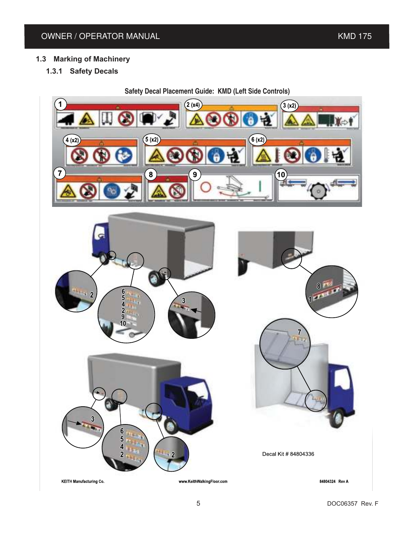### **1.3 Marking of Machinery**

**1.3.1 Safety Decals**

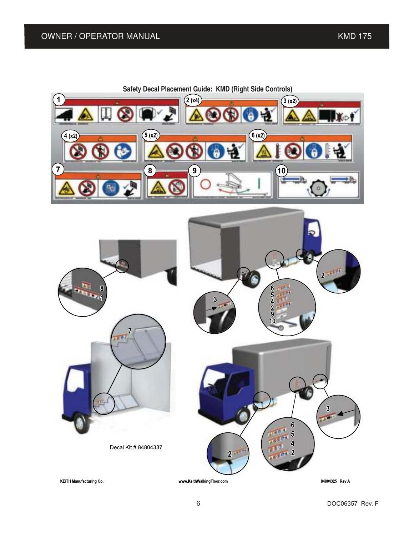

Decal Kit # 84804337

84804325 Rev A

 $6\phantom{a}$ 5  $\overline{\mathbf{4}}$ 

 $\overline{\mathbf{2}}$ 

**KEITH Manufacturing Co.** 

www.KeithWalkingFloor.com

 $\overline{2}$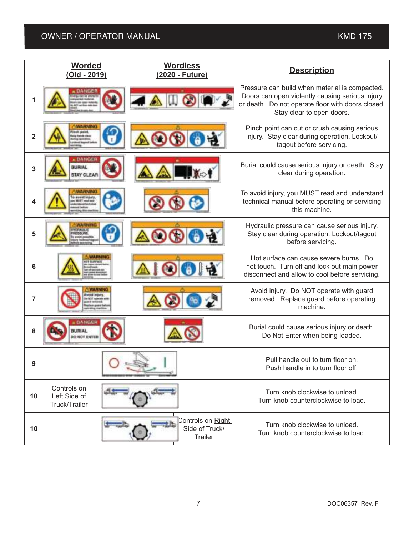## OWNER / OPERATOR MANUAL KMD 175

|                         | <b>Worded</b><br><u>(Old - 2019)</u>                             | <b>Wordless</b><br>(2020 - Future)                    | <b>Description</b>                                                                                                                                                                  |
|-------------------------|------------------------------------------------------------------|-------------------------------------------------------|-------------------------------------------------------------------------------------------------------------------------------------------------------------------------------------|
| 1                       | a BANGER                                                         |                                                       | Pressure can build when material is compacted.<br>Doors can open violently causing serious injury<br>or death. Do not operate floor with doors closed.<br>Stay clear to open doors. |
| $\overline{\mathbf{2}}$ | <b>MARANTHER</b><br><b>ASS GOLDS</b><br><b>URANE Vapored for</b> |                                                       | Pinch point can cut or crush causing serious<br>injury. Stay clear during operation. Lockout/<br>tagout before servicing.                                                           |
| 3                       | a DANGER<br><b>BURIAL</b><br><b>STAY CLEAR</b>                   |                                                       | Burial could cause serious injury or death. Stay<br>clear during operation.                                                                                                         |
| 4                       | WARNING<br>a awaid impar                                         |                                                       | To avoid injury, you MUST read and understand<br>technical manual before operating or servicing<br>this machine.                                                                    |
| 5                       | Makabulan Mi                                                     |                                                       | Hydraulic pressure can cause serious injury.<br>Stay clear during operation. Lockout/tagout<br>before servicing.                                                                    |
| 6                       |                                                                  |                                                       | Hot surface can cause severe burns. Do<br>not touch. Turn off and lock out main power<br>disconnect and allow to cool before servicing.                                             |
| 7                       |                                                                  |                                                       | Avoid injury. Do NOT operate with guard<br>removed. Replace guard before operating<br>machine.                                                                                      |
| 8                       | DANGER<br><b>MIRIAL</b><br>DO NOT ENTER                          |                                                       | Burial could cause serious injury or death.<br>Do Not Enter when being loaded.                                                                                                      |
| 9                       |                                                                  |                                                       | Pull handle out to turn floor on<br>Push handle in to turn floor off.                                                                                                               |
| 10                      | Controls on<br>Left Side of<br>Truck/Trailer                     |                                                       | Turn knob clockwise to unload.<br>Turn knob counterclockwise to load.                                                                                                               |
| 10                      |                                                                  | Controls on Right<br>Side of Truck/<br><b>Trailer</b> | Turn knob clockwise to unload.<br>Turn knob counterclockwise to load.                                                                                                               |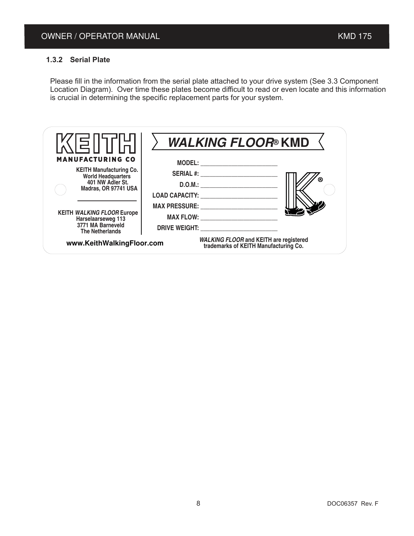#### **1.3.2 Serial Plate**

Please fill in the information from the serial plate attached to your drive system (See 3.3 Component Location Diagram). Over time these plates become difficult to read or even locate and this information is crucial in determining the specific replacement parts for your system.

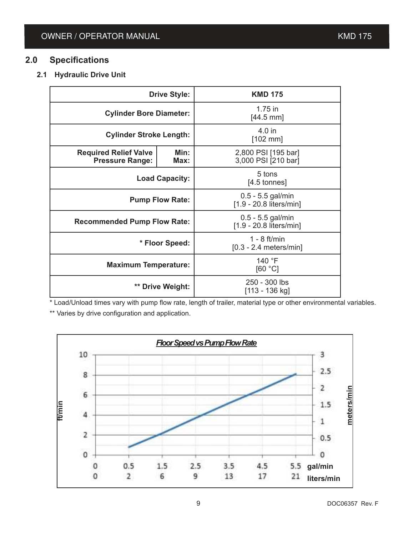## **2.0 Specifications**

### **2.1 Hydraulic Drive Unit**

| <b>Drive Style:</b>                                                    |  | <b>KMD 175</b>                                 |  |
|------------------------------------------------------------------------|--|------------------------------------------------|--|
| <b>Cylinder Bore Diameter:</b>                                         |  | $1.75$ in<br>$[44.5 \text{ mm}]$               |  |
| <b>Cylinder Stroke Length:</b>                                         |  | 4.0 in<br>$[102$ mm]                           |  |
| Min:<br><b>Required Relief Valve</b><br><b>Pressure Range:</b><br>Max: |  | 2,800 PSI [195 bar]<br>3,000 PSI [210 bar]     |  |
| <b>Load Capacity:</b>                                                  |  | 5 tons<br>$[4.5$ tonnes]                       |  |
| <b>Pump Flow Rate:</b>                                                 |  | $0.5 - 5.5$ gal/min<br>[1.9 - 20.8 liters/min] |  |
| <b>Recommended Pump Flow Rate:</b>                                     |  | $0.5 - 5.5$ gal/min<br>[1.9 - 20.8 liters/min] |  |
| * Floor Speed:                                                         |  | $1 - 8$ ft/min<br>$[0.3 - 2.4$ meters/min]     |  |
| <b>Maximum Temperature:</b>                                            |  | 140 °F<br>[60 °C]                              |  |
| ** Drive Weight:                                                       |  | 250 - 300 lbs<br>[113 - 136 kg]                |  |

\* Load/Unload times vary with pump flow rate, length of trailer, material type or other environmental variables.

\*\* Varies by drive configuration and application.

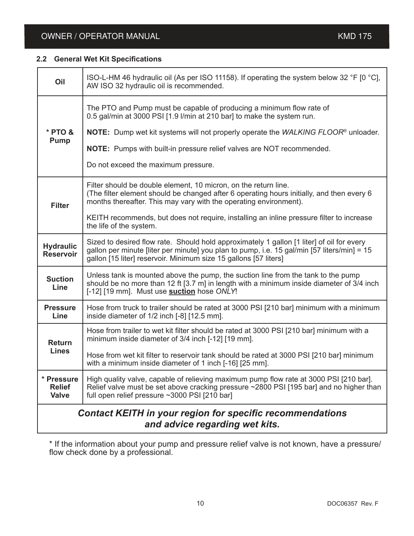## OWNER / OPERATOR MANUAL **And Contact Contact Contact Contact Contact Contact Contact Contact Contact Contact Contact Contact Contact Contact Contact Contact Contact Contact Contact Contact Contact Contact Contact Contact C**

#### **2.2 General Wet Kit Specifications**

| Oil                                                                                         | ISO-L-HM 46 hydraulic oil (As per ISO 11158). If operating the system below 32 °F [0 °C],<br>AW ISO 32 hydraulic oil is recommended.                                                                                                                                                                                                                                          |  |
|---------------------------------------------------------------------------------------------|-------------------------------------------------------------------------------------------------------------------------------------------------------------------------------------------------------------------------------------------------------------------------------------------------------------------------------------------------------------------------------|--|
| * PTO &<br><b>Pump</b>                                                                      | The PTO and Pump must be capable of producing a minimum flow rate of<br>0.5 gal/min at 3000 PSI [1.9 I/min at 210 bar] to make the system run.<br><b>NOTE:</b> Dump wet kit systems will not properly operate the WALKING FLOOR <sup>®</sup> unloader.<br><b>NOTE:</b> Pumps with built-in pressure relief valves are NOT recommended.<br>Do not exceed the maximum pressure. |  |
| <b>Filter</b>                                                                               | Filter should be double element, 10 micron, on the return line.<br>(The filter element should be changed after 6 operating hours initially, and then every 6<br>months thereafter. This may vary with the operating environment).<br>KEITH recommends, but does not require, installing an inline pressure filter to increase<br>the life of the system.                      |  |
| <b>Hydraulic</b><br><b>Reservoir</b>                                                        | Sized to desired flow rate. Should hold approximately 1 gallon [1 liter] of oil for every<br>gallon per minute [liter per minute] you plan to pump, i.e. 15 gal/min [57 liters/min] = 15<br>gallon [15 liter] reservoir. Minimum size 15 gallons [57 liters]                                                                                                                  |  |
| <b>Suction</b><br>Line                                                                      | Unless tank is mounted above the pump, the suction line from the tank to the pump<br>should be no more than 12 ft [3.7 m] in length with a minimum inside diameter of 3/4 inch<br>[-12] [19 mm]. Must use suction hose ONLY!                                                                                                                                                  |  |
| <b>Pressure</b><br>Line                                                                     | Hose from truck to trailer should be rated at 3000 PSI [210 bar] minimum with a minimum<br>inside diameter of 1/2 inch [-8] [12.5 mm].                                                                                                                                                                                                                                        |  |
| <b>Return</b><br><b>Lines</b>                                                               | Hose from trailer to wet kit filter should be rated at 3000 PSI [210 bar] minimum with a<br>minimum inside diameter of 3/4 inch [-12] [19 mm].<br>Hose from wet kit filter to reservoir tank should be rated at 3000 PSI [210 bar] minimum<br>with a minimum inside diameter of 1 inch [-16] [25 mm].                                                                         |  |
| * Pressure<br><b>Relief</b><br><b>Valve</b>                                                 | High quality valve, capable of relieving maximum pump flow rate at 3000 PSI [210 bar].<br>Relief valve must be set above cracking pressure ~2800 PSI [195 bar] and no higher than<br>full open relief pressure ~3000 PSI [210 bar]                                                                                                                                            |  |
| Contact KEITH in your region for specific recommendations<br>and advice regarding wet kits. |                                                                                                                                                                                                                                                                                                                                                                               |  |

\* If the information about your pump and pressure relief valve is not known, have a pressure/ flow check done by a professional.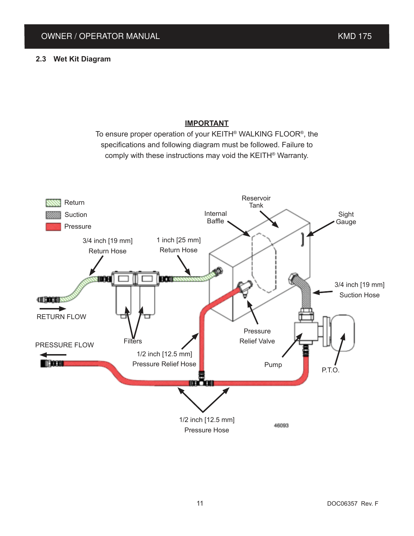#### **IMPORTANT**

To ensure proper operation of your KEITH® WALKING FLOOR® , the specifications and following diagram must be followed. Failure to comply with these instructions may void the KEITH® Warranty.

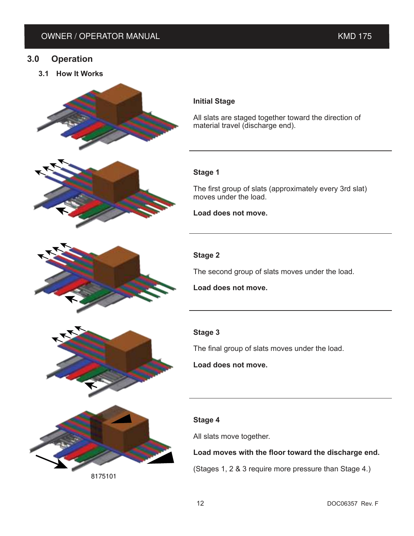#### **3.0 Operation**

**3.1 How It Works**



All slats are staged together toward the direction of material travel (discharge end).

#### **Stage 1**

The first group of slats (approximately every 3rd slat) moves under the load.

**Load does not move.**

#### **Stage 2**

The second group of slats moves under the load.

**Load does not move.**

#### **Stage 3**

The final group of slats moves under the load.

**Load does not move.**

#### **Stage 4**

All slats move together.

#### **Load moves with the floor toward the discharge end.**

(Stages 1, 2 & 3 require more pressure than Stage 4.)





8175101

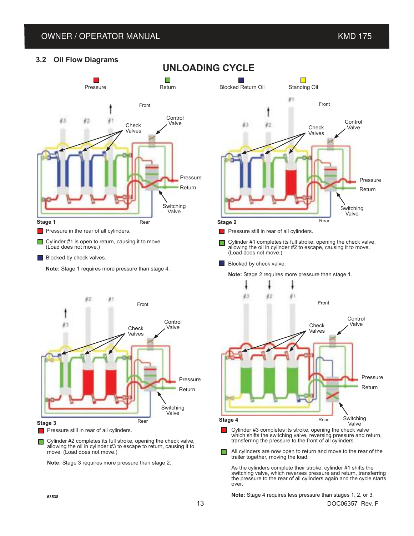#### OWNER / OPERATOR MANUAL **AUGUST 2008** KMD 175

#### **3.2 Oil Flow Diagrams**



 $\blacksquare$  Blocked by check valves.

**Note:** Stage 1 requires more pressure than stage 4.



**Pressure still in rear of all cylinders.** 

Cylinder #2 completes its full stroke, opening the check valve, □ allowing the oil in cylinder #3 to escape to return, causing it to move. (Load does not move.)

**Note:** Stage 3 requires more pressure than stage 2.



Pressure still in rear of all cylinders.

- Cylinder #1 completes its full stroke, opening the check valve,  $\Box$ allowing the oil in cylinder #2 to escape, causing it to move. (Load does not move.)
- **Blocked by check valve.**

**Note:** Stage 2 requires more pressure than stage 1.



- which shifts the switching valve, reversing pressure and return, transferring the pressure to the front of all cylinders.
- All cylinders are now open to return and move to the rear of the  $\Box$ trailer together, moving the load.

As the cylinders complete their stroke, cylinder #1 shifts the switching valve, which reverses pressure and return, transferring the pressure to the rear of all cylinders again and the cycle starts over.

**Note:** Stage 4 requires less pressure than stages 1, 2, or 3.

**UNLOADING CYCLE**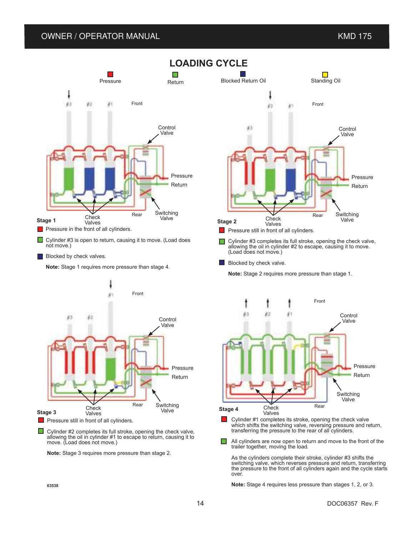#### OWNER / OPERATOR MANUAL **And Contain the Container of the Container Container and Container American Container American Container and Container and Container and Container and Container and Container and Container and Cont**



**Blocked by check valves.** 

**Note:** Stage 1 requires more pressure than stage 4.



 $\Box$  Cylinder #2 completes its full stroke, opening the check valve, allowing the oil in cylinder #1 to escape to return, causing it to move. (Load does not move.)

**Note:** Stage 3 requires more pressure than stage 2.



Front 83 40 Control Valve Pressure Return Switching Valve Rear **Check** Valves

Cylinder #1 completes its stroke, opening the check valve п which shifts the switching valve, reversing pressure and return, transferring the pressure to the rear of all cylinders.

о All cylinders are now open to return and move to the front of the trailer together, moving the load.

As the cylinders complete their stroke, cylinder #3 shifts the switching valve, which reverses pressure and return, transferring the pressure to the front of all cylinders again and the cycle starts over.

**Note:** Stage 4 requires less pressure than stages 1, 2, or 3.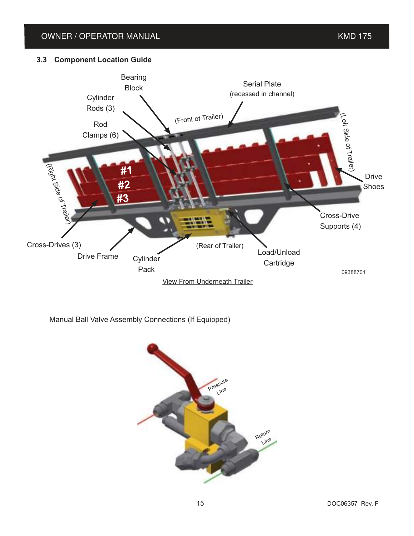### OWNER / OPERATOR MANUAL **And Contain the Container of Containing Container and Container and Containing Container**

#### **3.3 Component Location Guide**



Manual Ball Valve Assembly Connections (If Equipped)

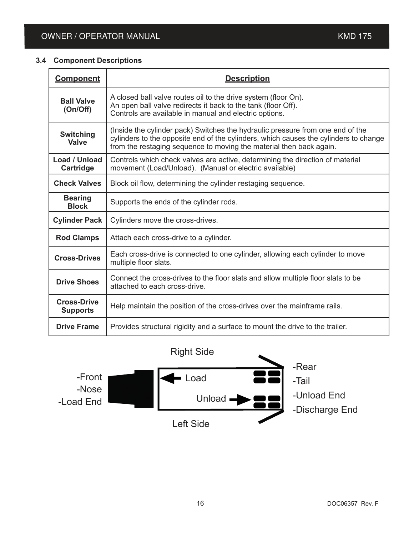#### **3.4 Component Descriptions**

| <b>Component</b>                      | <b>Description</b>                                                                                                                                                                                                                            |
|---------------------------------------|-----------------------------------------------------------------------------------------------------------------------------------------------------------------------------------------------------------------------------------------------|
| <b>Ball Valve</b><br>(On/Off)         | A closed ball valve routes oil to the drive system (floor On).<br>An open ball valve redirects it back to the tank (floor Off).<br>Controls are available in manual and electric options.                                                     |
| <b>Switching</b><br><b>Valve</b>      | (Inside the cylinder pack) Switches the hydraulic pressure from one end of the<br>cylinders to the opposite end of the cylinders, which causes the cylinders to change<br>from the restaging sequence to moving the material then back again. |
| Load / Unload<br>Cartridge            | Controls which check valves are active, determining the direction of material<br>movement (Load/Unload). (Manual or electric available)                                                                                                       |
| <b>Check Valves</b>                   | Block oil flow, determining the cylinder restaging sequence.                                                                                                                                                                                  |
| <b>Bearing</b><br><b>Block</b>        | Supports the ends of the cylinder rods.                                                                                                                                                                                                       |
| <b>Cylinder Pack</b>                  | Cylinders move the cross-drives.                                                                                                                                                                                                              |
| <b>Rod Clamps</b>                     | Attach each cross-drive to a cylinder.                                                                                                                                                                                                        |
| <b>Cross-Drives</b>                   | Each cross-drive is connected to one cylinder, allowing each cylinder to move<br>multiple floor slats.                                                                                                                                        |
| <b>Drive Shoes</b>                    | Connect the cross-drives to the floor slats and allow multiple floor slats to be<br>attached to each cross-drive.                                                                                                                             |
| <b>Cross-Drive</b><br><b>Supports</b> | Help maintain the position of the cross-drives over the mainframe rails.                                                                                                                                                                      |
| <b>Drive Frame</b>                    | Provides structural rigidity and a surface to mount the drive to the trailer.                                                                                                                                                                 |

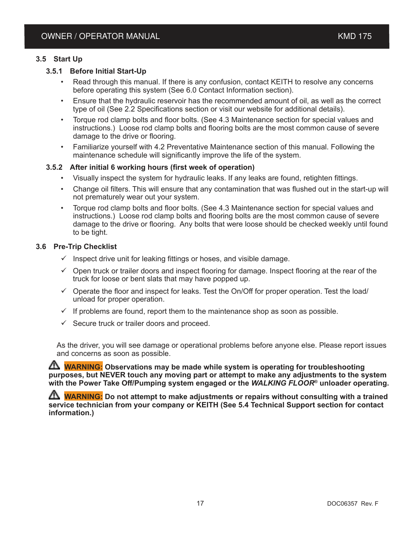#### **3.5 Start Up**

#### **3.5.1 Before Initial Start-Up**

- Read through this manual. If there is any confusion, contact KEITH to resolve any concerns before operating this system (See 6.0 Contact Information section).
- Ensure that the hydraulic reservoir has the recommended amount of oil, as well as the correct type of oil (See 2.2 Specifications section or visit our website for additional details).
- Torque rod clamp bolts and floor bolts. (See 4.3 Maintenance section for special values and instructions.) Loose rod clamp bolts and flooring bolts are the most common cause of severe damage to the drive or flooring.
- Familiarize yourself with 4.2 Preventative Maintenance section of this manual. Following the maintenance schedule will significantly improve the life of the system.

#### **3.5.2 After initial 6 working hours (first week of operation)**

- Visually inspect the system for hydraulic leaks. If any leaks are found, retighten fittings.
- Change oil filters. This will ensure that any contamination that was flushed out in the start-up will not prematurely wear out your system.
- Torque rod clamp bolts and floor bolts. (See 4.3 Maintenance section for special values and instructions.) Loose rod clamp bolts and flooring bolts are the most common cause of severe damage to the drive or flooring. Any bolts that were loose should be checked weekly until found to be tight.

#### **3.6 Pre-Trip Checklist**

- $\checkmark$  Inspect drive unit for leaking fittings or hoses, and visible damage.
- $\checkmark$  Open truck or trailer doors and inspect flooring for damage. Inspect flooring at the rear of the truck for loose or bent slats that may have popped up.
- $\checkmark$  Operate the floor and inspect for leaks. Test the On/Off for proper operation. Test the load/ unload for proper operation.
- $\checkmark$  If problems are found, report them to the maintenance shop as soon as possible.
- $\checkmark$  Secure truck or trailer doors and proceed.

As the driver, you will see damage or operational problems before anyone else. Please report issues and concerns as soon as possible.

**WARNING:** Observations may be made while system is operating for troubleshooting **purposes, but NEVER touch any moving part or attempt to make any adjustments to the system with the Power Take Off/Pumping system engaged or the** *WALKING FLOOR***® unloader operating.**

**WARNING:** Do not attempt to make adjustments or repairs without consulting with a trained **service technician from your company or KEITH (See 5.4 Technical Support section for contact information.)**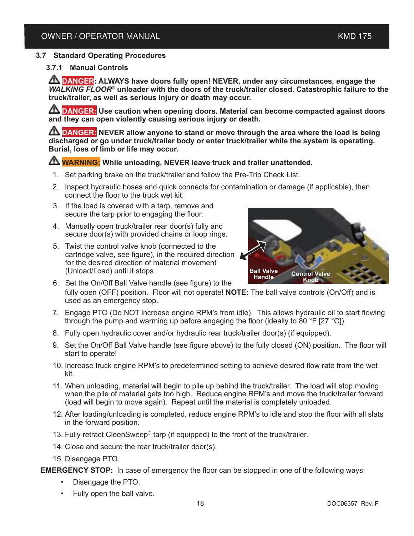#### **3.7 Standard Operating Procedures**

#### **3.7.1 Manual Controls**

**DANGER: ALWAYS have doors fully open! NEVER, under any circumstances, engage the**  *WALKING FLOOR*<sup>®</sup> unloader with the doors of the truck/trailer closed. Catastrophic failure to the **truck/trailer, as well as serious injury or death may occur.**

**ANGER:** Use caution when opening doors. Material can become compacted against doors **and they can open violently causing serious injury or death.**

**TA DANGER:** NEVER allow anyone to stand or move through the area where the load is being **discharged or go under truck/trailer body or enter truck/trailer while the system is operating. Burial, loss of limb or life may occur.**

#### **WARNING: While unloading, NEVER leave truck and trailer unattended.**

- 1. Set parking brake on the truck/trailer and follow the Pre-Trip Check List.
- 2. Inspect hydraulic hoses and quick connects for contamination or damage (if applicable), then connect the floor to the truck wet kit.
- 3. If the load is covered with a tarp, remove and secure the tarp prior to engaging the floor.
- 4. Manually open truck/trailer rear door(s) fully and secure door(s) with provided chains or loop rings.
- 5. Twist the control valve knob (connected to the cartridge valve, see figure), in the required direction for the desired direction of material movement (Unload/Load) until it stops.



- 6. Set the On/Off Ball Valve handle (see figure) to the fully open (OFF) position. Floor will not operate! **NOTE:** The ball valve controls (On/Off) and is used as an emergency stop.
- 7. Engage PTO (Do NOT increase engine RPM's from idle). This allows hydraulic oil to start flowing through the pump and warming up before engaging the floor (ideally to  $80$  °F [27 °C]).
- 8. Fully open hydraulic cover and/or hydraulic rear truck/trailer door(s) (if equipped).
- 9. Set the On/Off Ball Valve handle (see figure above) to the fully closed (ON) position. The floor will start to operate!
- 10. Increase truck engine RPM's to predetermined setting to achieve desired flow rate from the wet kit.
- 11. When unloading, material will begin to pile up behind the truck/trailer. The load will stop moving when the pile of material gets too high. Reduce engine RPM's and move the truck/trailer forward (load will begin to move again). Repeat until the material is completely unloaded.
- 12. After loading/unloading is completed, reduce engine RPM's to idle and stop the floor with all slats in the forward position.
- 13. Fully retract CleenSweep® tarp (if equipped) to the front of the truck/trailer.
- 14. Close and secure the rear truck/trailer door(s).
- 15. Disengage PTO.

**EMERGENCY STOP:** In case of emergency the floor can be stopped in one of the following ways:

- Disengage the PTO.
- Fully open the ball valve.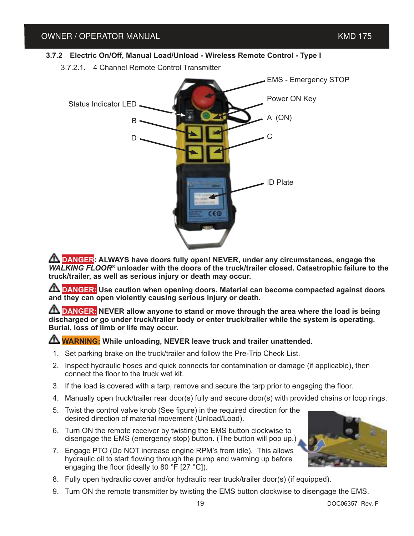#### **3.7.2 Electric On/Off, Manual Load/Unload - Wireless Remote Control - Type I**

3.7.2.1. 4 Channel Remote Control Transmitter



**TA DANGER: ALWAYS have doors fully open! NEVER, under any circumstances, engage the** *WALKING FLOOR*<sup>®</sup> unloader with the doors of the truck/trailer closed. Catastrophic failure to the **truck/trailer, as well as serious injury or death may occur.**

**ANGER:** Use caution when opening doors. Material can become compacted against doors **and they can open violently causing serious injury or death.**

**TA DANGER:** NEVER allow anyone to stand or move through the area where the load is being **discharged or go under truck/trailer body or enter truck/trailer while the system is operating. Burial, loss of limb or life may occur.**

#### **WARNING: While unloading, NEVER leave truck and trailer unattended.**

- 1. Set parking brake on the truck/trailer and follow the Pre-Trip Check List.
- 2. Inspect hydraulic hoses and quick connects for contamination or damage (if applicable), then connect the floor to the truck wet kit.
- 3. If the load is covered with a tarp, remove and secure the tarp prior to engaging the floor.
- 4. Manually open truck/trailer rear door(s) fully and secure door(s) with provided chains or loop rings.
- 5. Twist the control valve knob (See figure) in the required direction for the desired direction of material movement (Unload/Load).
- 6. Turn ON the remote receiver by twisting the EMS button clockwise to disengage the EMS (emergency stop) button. (The button will pop up.)
- 7. Engage PTO (Do NOT increase engine RPM's from idle). This allows hydraulic oil to start flowing through the pump and warming up before engaging the floor (ideally to 80 °F [27 °C]).



- 8. Fully open hydraulic cover and/or hydraulic rear truck/trailer door(s) (if equipped).
- 9. Turn ON the remote transmitter by twisting the EMS button clockwise to disengage the EMS.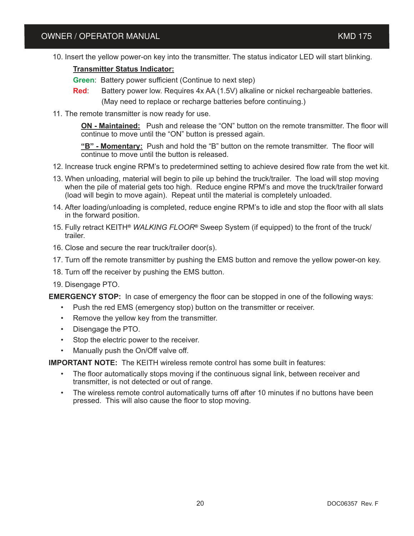10. Insert the yellow power-on key into the transmitter. The status indicator LED will start blinking.

#### **Transmitter Status Indicator:**

**Green**: Battery power sufficient (Continue to next step)

**Red**: Battery power low. Requires 4x AA (1.5V) alkaline or nickel rechargeable batteries. (May need to replace or recharge batteries before continuing.)

11. The remote transmitter is now ready for use.

**ON - Maintained:** Push and release the "ON" button on the remote transmitter. The floor will continue to move until the "ON" button is pressed again.

**"B" - Momentary:** Push and hold the "B" button on the remote transmitter. The floor will continue to move until the button is released.

- 12. Increase truck engine RPM's to predetermined setting to achieve desired flow rate from the wet kit.
- 13. When unloading, material will begin to pile up behind the truck/trailer. The load will stop moving when the pile of material gets too high. Reduce engine RPM's and move the truck/trailer forward (load will begin to move again). Repeat until the material is completely unloaded.
- 14. After loading/unloading is completed, reduce engine RPM's to idle and stop the floor with all slats in the forward position.
- 15. Fully retract KEITH**®** *WALKING FLOOR***®** Sweep System (if equipped) to the front of the truck/ trailer.
- 16. Close and secure the rear truck/trailer door(s).
- 17. Turn off the remote transmitter by pushing the EMS button and remove the yellow power-on key.
- 18. Turn off the receiver by pushing the EMS button.
- 19. Disengage PTO.

**EMERGENCY STOP:** In case of emergency the floor can be stopped in one of the following ways:

- Push the red EMS (emergency stop) button on the transmitter or receiver.
- Remove the yellow key from the transmitter.
- Disengage the PTO.
- Stop the electric power to the receiver.
- Manually push the On/Off valve off.

**IMPORTANT NOTE:** The KEITH wireless remote control has some built in features:

- The floor automatically stops moving if the continuous signal link, between receiver and transmitter, is not detected or out of range.
- The wireless remote control automatically turns off after 10 minutes if no buttons have been pressed. This will also cause the floor to stop moving.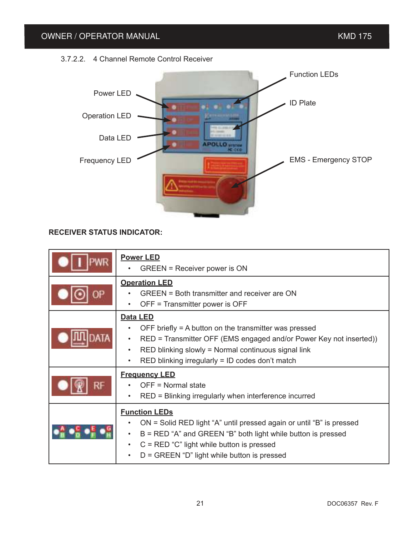

#### **RECEIVER STATUS INDICATOR:**

| <b>Power LED</b><br>GREEN = Receiver power is ON                                                                                                                                                                                                                              |
|-------------------------------------------------------------------------------------------------------------------------------------------------------------------------------------------------------------------------------------------------------------------------------|
| <b>Operation LED</b><br>GREEN = Both transmitter and receiver are ON<br>OFF = Transmitter power is OFF                                                                                                                                                                        |
| Data LED<br>OFF briefly $=$ A button on the transmitter was pressed<br>RED = Transmitter OFF (EMS engaged and/or Power Key not inserted))<br>RED blinking slowly = Normal continuous signal link<br>$\bullet$<br>RED blinking irregularly = ID codes don't match<br>$\bullet$ |
| <b>Frequency LED</b><br>OFF = Normal state<br>RED = Blinking irregularly when interference incurred                                                                                                                                                                           |
| <b>Function LEDs</b><br>ON = Solid RED light "A" until pressed again or until "B" is pressed<br>$B = RED$ "A" and GREEN "B" both light while button is pressed<br>$C = RED "C"$ light while button is pressed<br>$D = GREEN "D"$ light while button is pressed                |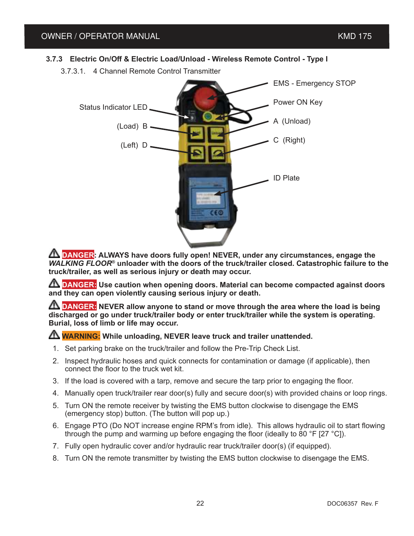#### **3.7.3 Electric On/Off & Electric Load/Unload - Wireless Remote Control - Type I**

3.7.3.1. 4 Channel Remote Control Transmitter



**A DANGER: ALWAYS have doors fully open! NEVER, under any circumstances, engage the** *WALKING FLOOR*<sup>®</sup> unloader with the doors of the truck/trailer closed. Catastrophic failure to the **truck/trailer, as well as serious injury or death may occur.**

**ANGER:** Use caution when opening doors. Material can become compacted against doors **and they can open violently causing serious injury or death.**

**A DANGER:** NEVER allow anyone to stand or move through the area where the load is being **discharged or go under truck/trailer body or enter truck/trailer while the system is operating. Burial, loss of limb or life may occur.**

#### **A WARNING:** While unloading, NEVER leave truck and trailer unattended.

- 1. Set parking brake on the truck/trailer and follow the Pre-Trip Check List.
- 2. Inspect hydraulic hoses and quick connects for contamination or damage (if applicable), then connect the floor to the truck wet kit.
- 3. If the load is covered with a tarp, remove and secure the tarp prior to engaging the floor.
- 4. Manually open truck/trailer rear door(s) fully and secure door(s) with provided chains or loop rings.
- 5. Turn ON the remote receiver by twisting the EMS button clockwise to disengage the EMS (emergency stop) button. (The button will pop up.)
- 6. Engage PTO (Do NOT increase engine RPM's from idle). This allows hydraulic oil to start flowing through the pump and warming up before engaging the floor (ideally to 80 °F [27 °C]).
- 7. Fully open hydraulic cover and/or hydraulic rear truck/trailer door(s) (if equipped).
- 8. Turn ON the remote transmitter by twisting the EMS button clockwise to disengage the EMS.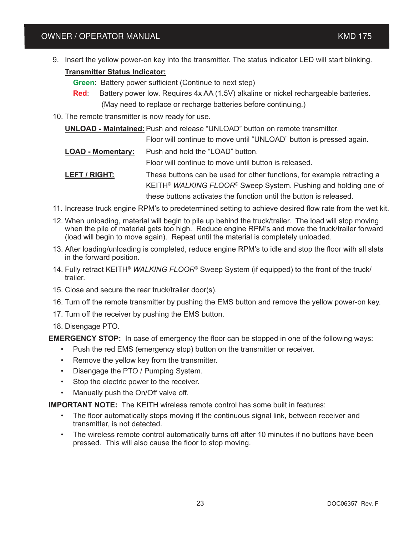9. Insert the yellow power-on key into the transmitter. The status indicator LED will start blinking.

#### **Transmitter Status Indicator:**

 **Green**: Battery power sufficient (Continue to next step)

- **Red:** Battery power low. Requires 4x AA (1.5V) alkaline or nickel rechargeable batteries. (May need to replace or recharge batteries before continuing.)
- 10. The remote transmitter is now ready for use.

**UNLOAD - Maintained:** Push and release "UNLOAD" button on remote transmitter.

Floor will continue to move until "UNLOAD" button is pressed again.

**LOAD - Momentary:** Push and hold the "LOAD" button.

Floor will continue to move until button is released.

**LEFT / RIGHT:** These buttons can be used for other functions, for example retracting a KEITH**®** *WALKING FLOOR***®** Sweep System. Pushing and holding one of these buttons activates the function until the button is released.

- 11. Increase truck engine RPM's to predetermined setting to achieve desired flow rate from the wet kit.
- 12. When unloading, material will begin to pile up behind the truck/trailer. The load will stop moving when the pile of material gets too high. Reduce engine RPM's and move the truck/trailer forward (load will begin to move again). Repeat until the material is completely unloaded.
- 13. After loading/unloading is completed, reduce engine RPM's to idle and stop the floor with all slats in the forward position.
- 14. Fully retract KEITH**®** *WALKING FLOOR***®** Sweep System (if equipped) to the front of the truck/ trailer.
- 15. Close and secure the rear truck/trailer door(s).
- 16. Turn off the remote transmitter by pushing the EMS button and remove the yellow power-on key.
- 17. Turn off the receiver by pushing the EMS button.
- 18. Disengage PTO.

**EMERGENCY STOP:** In case of emergency the floor can be stopped in one of the following ways:

- Push the red EMS (emergency stop) button on the transmitter or receiver.
- Remove the yellow key from the transmitter.
- Disengage the PTO / Pumping System.
- Stop the electric power to the receiver.
- Manually push the On/Off valve off.

**IMPORTANT NOTE:** The KEITH wireless remote control has some built in features:

- The floor automatically stops moving if the continuous signal link, between receiver and transmitter, is not detected.
- The wireless remote control automatically turns off after 10 minutes if no buttons have been pressed. This will also cause the floor to stop moving.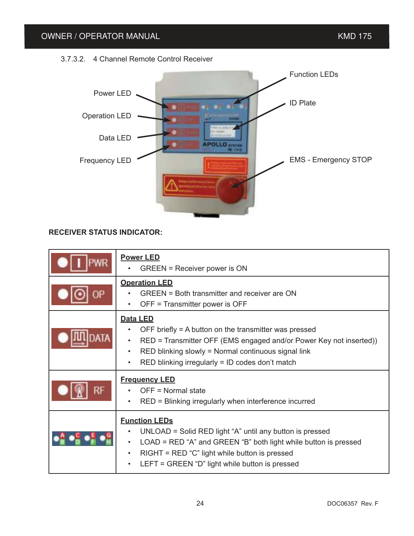

#### **RECEIVER STATUS INDICATOR:**

| <b>Power LED</b><br>GREEN = Receiver power is ON                                                                                                                                                                                                                              |
|-------------------------------------------------------------------------------------------------------------------------------------------------------------------------------------------------------------------------------------------------------------------------------|
| <b>Operation LED</b><br>GREEN = Both transmitter and receiver are ON<br>OFF = Transmitter power is OFF                                                                                                                                                                        |
| Data LED<br>OFF briefly $=$ A button on the transmitter was pressed<br>RED = Transmitter OFF (EMS engaged and/or Power Key not inserted))<br>$\bullet$<br>RED blinking slowly = Normal continuous signal link<br>$\bullet$<br>RED blinking irregularly = ID codes don't match |
| <b>Frequency LED</b><br>OFF = Normal state<br>RED = Blinking irregularly when interference incurred                                                                                                                                                                           |
| <b>Function LEDs</b><br>UNLOAD = Solid RED light "A" until any button is pressed<br>$LOAD = RED$ "A" and GREEN "B" both light while button is pressed<br>$RIGHT = RED "C" light while button is pressed$<br>$\bullet$<br>LEFT = GREEN "D" light while button is pressed       |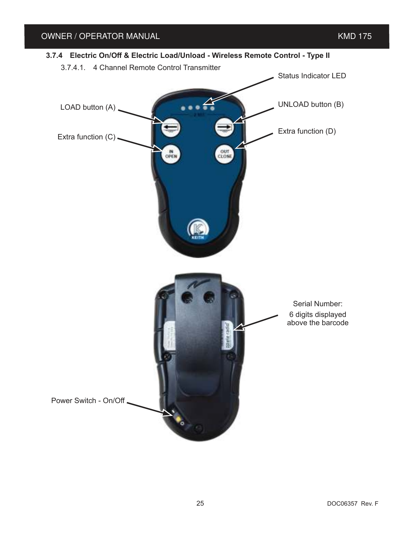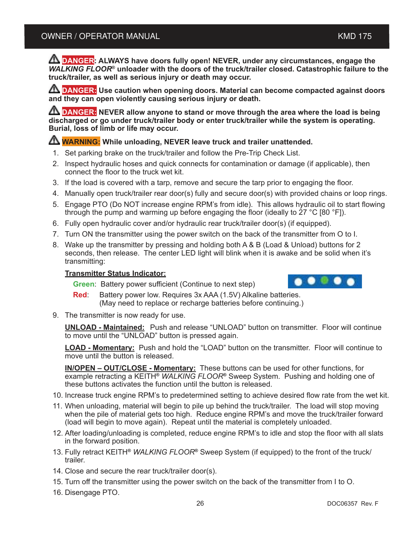**A DANGER: ALWAYS have doors fully open! NEVER, under any circumstances, engage the** *WALKING FLOOR*<sup>®</sup> unloader with the doors of the truck/trailer closed. Catastrophic failure to the **truck/trailer, as well as serious injury or death may occur.**

**A DANGER:** Use caution when opening doors. Material can become compacted against doors **and they can open violently causing serious injury or death.**

**A DANGER:** NEVER allow anyone to stand or move through the area where the load is being **discharged or go under truck/trailer body or enter truck/trailer while the system is operating. Burial, loss of limb or life may occur.**

#### **A WARNING:** While unloading, NEVER leave truck and trailer unattended.

- 1. Set parking brake on the truck/trailer and follow the Pre-Trip Check List.
- 2. Inspect hydraulic hoses and quick connects for contamination or damage (if applicable), then connect the floor to the truck wet kit.
- 3. If the load is covered with a tarp, remove and secure the tarp prior to engaging the floor.
- 4. Manually open truck/trailer rear door(s) fully and secure door(s) with provided chains or loop rings.
- 5. Engage PTO (Do NOT increase engine RPM's from idle). This allows hydraulic oil to start flowing through the pump and warming up before engaging the floor (ideally to 27 °C [80 °F]).
- 6. Fully open hydraulic cover and/or hydraulic rear truck/trailer door(s) (if equipped).
- 7. Turn ON the transmitter using the power switch on the back of the transmitter from O to I.
- 8. Wake up the transmitter by pressing and holding both A & B (Load & Unload) buttons for 2 seconds, then release. The center LED light will blink when it is awake and be solid when it's transmitting:

#### **Transmitter Status Indicator:**

**Green**: Battery power sufficient (Continue to next step)

- **Red:** Battery power low. Requires 3x AAA (1.5V) Alkaline batteries. (May need to replace or recharge batteries before continuing.)
- 9. The transmitter is now ready for use.

**UNLOAD - Maintained:** Push and release "UNLOAD" button on transmitter. Floor will continue to move until the "UNLOAD" button is pressed again.

**LOAD - Momentary:** Push and hold the "LOAD" button on the transmitter. Floor will continue to move until the button is released.

**IN/OPEN – OUT/CLOSE - Momentary:** These buttons can be used for other functions, for example retracting a KEITH**®** *WALKING FLOOR***®** Sweep System. Pushing and holding one of these buttons activates the function until the button is released.

- 10. Increase truck engine RPM's to predetermined setting to achieve desired flow rate from the wet kit.
- 11. When unloading, material will begin to pile up behind the truck/trailer. The load will stop moving when the pile of material gets too high. Reduce engine RPM's and move the truck/trailer forward (load will begin to move again). Repeat until the material is completely unloaded.
- 12. After loading/unloading is completed, reduce engine RPM's to idle and stop the floor with all slats in the forward position.
- 13. Fully retract KEITH**®** *WALKING FLOOR***®** Sweep System (if equipped) to the front of the truck/ trailer.
- 14. Close and secure the rear truck/trailer door(s).
- 15. Turn off the transmitter using the power switch on the back of the transmitter from I to O.
- 16. Disengage PTO.

 $\bullet\bullet\bullet\bullet\bullet$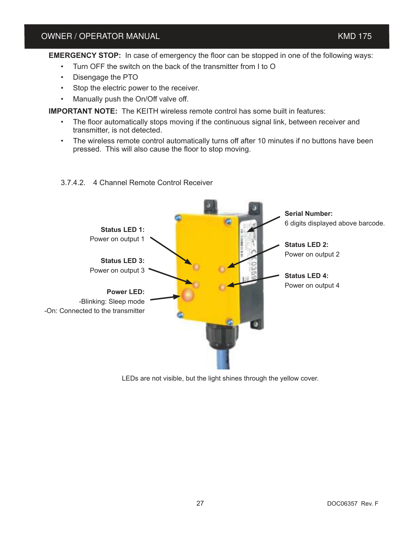**EMERGENCY STOP:** In case of emergency the floor can be stopped in one of the following ways:

- Turn OFF the switch on the back of the transmitter from I to O
- Disengage the PTO
- Stop the electric power to the receiver.
- Manually push the On/Off valve off.

**IMPORTANT NOTE:** The KEITH wireless remote control has some built in features:

- The floor automatically stops moving if the continuous signal link, between receiver and transmitter, is not detected.
- The wireless remote control automatically turns off after 10 minutes if no buttons have been pressed. This will also cause the floor to stop moving.



#### 3.7.4.2. 4 Channel Remote Control Receiver

LEDs are not visible, but the light shines through the yellow cover.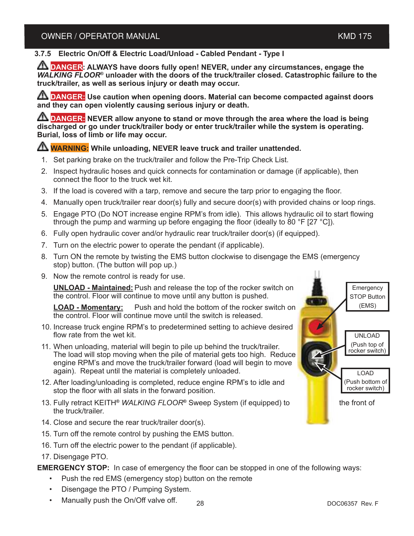#### **3.7.5 Electric On/Off & Electric Load/Unload - Cabled Pendant - Type I**

**ANGER:** ALWAYS have doors fully open! NEVER, under any circumstances, engage the *WALKING FLOOR*<sup>®</sup> unloader with the doors of the truck/trailer closed. Catastrophic failure to the **truck/trailer, as well as serious injury or death may occur.**

**A DANGER:** Use caution when opening doors. Material can become compacted against doors **and they can open violently causing serious injury or death.**

**A DANGER:** NEVER allow anyone to stand or move through the area where the load is being **discharged or go under truck/trailer body or enter truck/trailer while the system is operating. Burial, loss of limb or life may occur.**

#### **WARNING: While unloading, NEVER leave truck and trailer unattended.**

- 1. Set parking brake on the truck/trailer and follow the Pre-Trip Check List.
- 2. Inspect hydraulic hoses and quick connects for contamination or damage (if applicable), then connect the floor to the truck wet kit.
- 3. If the load is covered with a tarp, remove and secure the tarp prior to engaging the floor.
- 4. Manually open truck/trailer rear door(s) fully and secure door(s) with provided chains or loop rings.
- 5. Engage PTO (Do NOT increase engine RPM's from idle). This allows hydraulic oil to start flowing through the pump and warming up before engaging the floor (ideally to 80 °F [27 °C]).
- 6. Fully open hydraulic cover and/or hydraulic rear truck/trailer door(s) (if equipped).
- 7. Turn on the electric power to operate the pendant (if applicable).
- 8. Turn ON the remote by twisting the EMS button clockwise to disengage the EMS (emergency stop) button. (The button will pop up.)
- 9. Now the remote control is ready for use.

**UNLOAD - Maintained:** Push and release the top of the rocker switch on the control. Floor will continue to move until any button is pushed.

**LOAD - Momentary:** Push and hold the bottom of the rocker switch on the control. Floor will continue move until the switch is released.

- 10. Increase truck engine RPM's to predetermined setting to achieve desired flow rate from the wet kit.
- 11. When unloading, material will begin to pile up behind the truck/trailer. The load will stop moving when the pile of material gets too high. Reduce engine RPM's and move the truck/trailer forward (load will begin to move again). Repeat until the material is completely unloaded.
- 12. After loading/unloading is completed, reduce engine RPM's to idle and stop the floor with all slats in the forward position.
- 13. Fully retract KEITH**®** *WALKING FLOOR***®** Sweep System (if equipped) to the front of the truck/trailer.
- 14. Close and secure the rear truck/trailer door(s).
- 15. Turn off the remote control by pushing the EMS button.
- 16. Turn off the electric power to the pendant (if applicable).
- 17. Disengage PTO.

**EMERGENCY STOP:** In case of emergency the floor can be stopped in one of the following ways:

- Push the red EMS (emergency stop) button on the remote
- Disengage the PTO / Pumping System.
- Manually push the On/Off valve off.  $_{28}$   $_{28}$   $_{\rm \sim}$   $_{\rm \sim}$   $_{\rm \sim}$  DOC06357 Rev. F

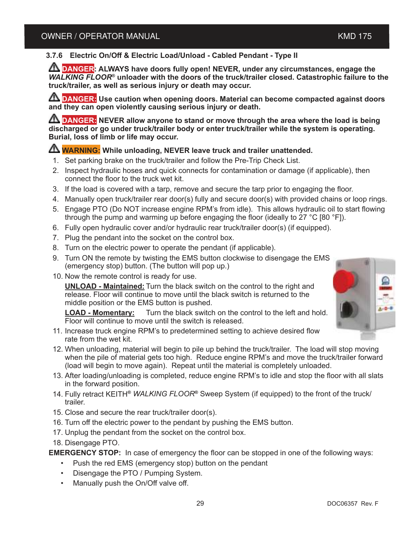#### **3.7.6 Electric On/Off & Electric Load/Unload - Cabled Pendant - Type II**

**DANGER:** ALWAYS have doors fully open! NEVER, under any circumstances, engage the *WALKING FLOOR*<sup>®</sup> unloader with the doors of the truck/trailer closed. Catastrophic failure to the **truck/trailer, as well as serious injury or death may occur.**

**A DANGER:** Use caution when opening doors. Material can become compacted against doors **and they can open violently causing serious injury or death.**

**A DANGER:** NEVER allow anyone to stand or move through the area where the load is being **discharged or go under truck/trailer body or enter truck/trailer while the system is operating. Burial, loss of limb or life may occur.**

#### **WARNING: While unloading, NEVER leave truck and trailer unattended.**

- 1. Set parking brake on the truck/trailer and follow the Pre-Trip Check List.
- 2. Inspect hydraulic hoses and quick connects for contamination or damage (if applicable), then connect the floor to the truck wet kit.
- 3. If the load is covered with a tarp, remove and secure the tarp prior to engaging the floor.
- 4. Manually open truck/trailer rear door(s) fully and secure door(s) with provided chains or loop rings.
- 5. Engage PTO (Do NOT increase engine RPM's from idle). This allows hydraulic oil to start flowing through the pump and warming up before engaging the floor (ideally to  $27 \degree$ C [80  $\degree$ F]).
- 6. Fully open hydraulic cover and/or hydraulic rear truck/trailer door(s) (if equipped).
- 7. Plug the pendant into the socket on the control box.
- 8. Turn on the electric power to operate the pendant (if applicable).
- 9. Turn ON the remote by twisting the EMS button clockwise to disengage the EMS (emergency stop) button. (The button will pop up.)
- 10. Now the remote control is ready for use.

**UNLOAD - Maintained:** Turn the black switch on the control to the right and release. Floor will continue to move until the black switch is returned to the middle position or the EMS button is pushed.

**LOAD - Momentary:** Turn the black switch on the control to the left and hold. Floor will continue to move until the switch is released.

- 11. Increase truck engine RPM's to predetermined setting to achieve desired flow rate from the wet kit.
- 12. When unloading, material will begin to pile up behind the truck/trailer. The load will stop moving when the pile of material gets too high. Reduce engine RPM's and move the truck/trailer forward (load will begin to move again). Repeat until the material is completely unloaded.
- 13. After loading/unloading is completed, reduce engine RPM's to idle and stop the floor with all slats in the forward position.
- 14. Fully retract KEITH**®** *WALKING FLOOR***®** Sweep System (if equipped) to the front of the truck/ trailer.
- 15. Close and secure the rear truck/trailer door(s).
- 16. Turn off the electric power to the pendant by pushing the EMS button.
- 17. Unplug the pendant from the socket on the control box.
- 18. Disengage PTO.

**EMERGENCY STOP:** In case of emergency the floor can be stopped in one of the following ways:

- Push the red EMS (emergency stop) button on the pendant
- Disengage the PTO / Pumping System.
- Manually push the On/Off valve off.

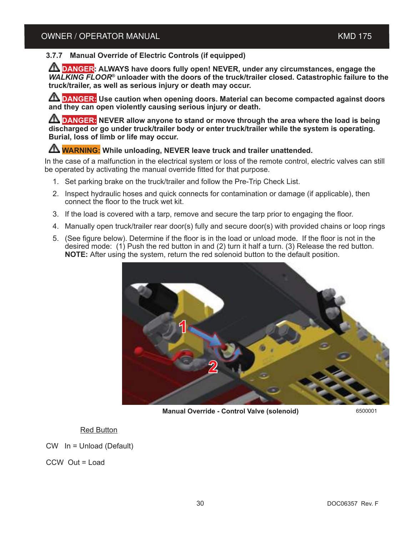#### **3.7.7 Manual Override of Electric Controls (if equipped)**

**DANGER:** ALWAYS have doors fully open! NEVER, under any circumstances, engage the *WALKING FLOOR*<sup>®</sup> unloader with the doors of the truck/trailer closed. Catastrophic failure to the **truck/trailer, as well as serious injury or death may occur.**

**ANGER:** Use caution when opening doors. Material can become compacted against doors **and they can open violently causing serious injury or death.**

**TO DANGER:** NEVER allow anyone to stand or move through the area where the load is being **discharged or go under truck/trailer body or enter truck/trailer while the system is operating. Burial, loss of limb or life may occur.**

#### **A WARNING:** While unloading, NEVER leave truck and trailer unattended.

In the case of a malfunction in the electrical system or loss of the remote control, electric valves can still be operated by activating the manual override fitted for that purpose.

- 1. Set parking brake on the truck/trailer and follow the Pre-Trip Check List.
- 2. Inspect hydraulic hoses and quick connects for contamination or damage (if applicable), then connect the floor to the truck wet kit.
- 3. If the load is covered with a tarp, remove and secure the tarp prior to engaging the floor.
- 4. Manually open truck/trailer rear door(s) fully and secure door(s) with provided chains or loop rings
- 5. (See figure below). Determine if the floor is in the load or unload mode. If the floor is not in the desired mode: (1) Push the red button in and (2) turn it half a turn. (3) Release the red button. **NOTE:** After using the system, return the red solenoid button to the default position.



**Manual Override - Control Valve (solenoid)**

6500001

#### Red Button

CW In = Unload (Default)

CCW Out = Load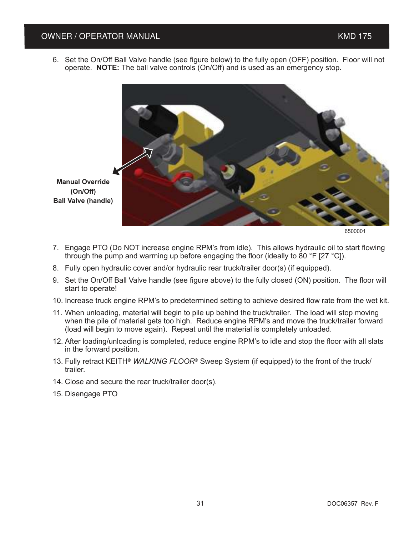#### OWNER / OPERATOR MANUAL **And the Contract of Contract Contract Contract Contract Contract Contract Contract Contract Contract Contract Contract Contract Contract Contract Contract Contract Contract Contract Contract Contra**

6. Set the On/Off Ball Valve handle (see figure below) to the fully open (OFF) position. Floor will not operate. **NOTE:** The ball valve controls (On/Off) and is used as an emergency stop.



6500001

- 7. Engage PTO (Do NOT increase engine RPM's from idle). This allows hydraulic oil to start flowing through the pump and warming up before engaging the floor (ideally to 80 °F [27 °C]).
- 8. Fully open hydraulic cover and/or hydraulic rear truck/trailer door(s) (if equipped).
- 9. Set the On/Off Ball Valve handle (see figure above) to the fully closed (ON) position. The floor will start to operate!
- 10. Increase truck engine RPM's to predetermined setting to achieve desired flow rate from the wet kit.
- 11. When unloading, material will begin to pile up behind the truck/trailer. The load will stop moving when the pile of material gets too high. Reduce engine RPM's and move the truck/trailer forward (load will begin to move again). Repeat until the material is completely unloaded.
- 12. After loading/unloading is completed, reduce engine RPM's to idle and stop the floor with all slats in the forward position.
- 13. Fully retract KEITH**®** *WALKING FLOOR***®** Sweep System (if equipped) to the front of the truck/ trailer.
- 14. Close and secure the rear truck/trailer door(s).
- 15. Disengage PTO

**(On/Off)**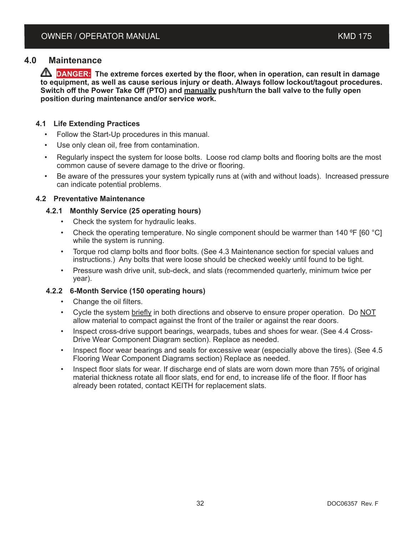#### **4.0 Maintenance**

**A DANGER:** The extreme forces exerted by the floor, when in operation, can result in damage **to equipment, as well as cause serious injury or death. Always follow lockout/tagout procedures. Switch off the Power Take Off (PTO) and manually push/turn the ball valve to the fully open position during maintenance and/or service work.**

#### **4.1 Life Extending Practices**

- Follow the Start-Up procedures in this manual.
- Use only clean oil, free from contamination.
- Regularly inspect the system for loose bolts. Loose rod clamp bolts and flooring bolts are the most common cause of severe damage to the drive or flooring.
- Be aware of the pressures your system typically runs at (with and without loads). Increased pressure can indicate potential problems.

#### **4.2 Preventative Maintenance**

- **4.2.1 Monthly Service (25 operating hours)**
	- Check the system for hydraulic leaks.
	- Check the operating temperature. No single component should be warmer than 140  $\degree$ F [60  $\degree$ C] while the system is running.
	- Torque rod clamp bolts and floor bolts. (See 4.3 Maintenance section for special values and instructions.) Any bolts that were loose should be checked weekly until found to be tight.
	- Pressure wash drive unit, sub-deck, and slats (recommended quarterly, minimum twice per year).

#### **4.2.2 6-Month Service (150 operating hours)**

- Change the oil filters.
- Cycle the system briefly in both directions and observe to ensure proper operation. Do NOT allow material to compact against the front of the trailer or against the rear doors.
- Inspect cross-drive support bearings, wearpads, tubes and shoes for wear. (See 4.4 Cross-Drive Wear Component Diagram section). Replace as needed.
- Inspect floor wear bearings and seals for excessive wear (especially above the tires). (See 4.5 Flooring Wear Component Diagrams section) Replace as needed.
- Inspect floor slats for wear. If discharge end of slats are worn down more than 75% of original material thickness rotate all floor slats, end for end, to increase life of the floor. If floor has already been rotated, contact KEITH for replacement slats.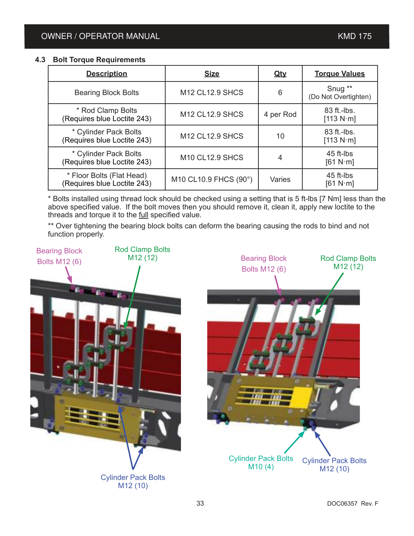#### **4.3 Bolt Torque Requirements**

| <b>Description</b>                                       | <b>Size</b>            | <u>Qty</u> | <b>Torque Values</b>              |
|----------------------------------------------------------|------------------------|------------|-----------------------------------|
| <b>Bearing Block Bolts</b>                               | <b>M12 CL12.9 SHCS</b> | 6          | Snug **<br>(Do Not Overtighten)   |
| * Rod Clamp Bolts<br>(Requires blue Loctite 243)         | <b>M12 CL12.9 SHCS</b> | 4 per Rod  | 83 ft.-lbs.<br>[113 N $\cdot$ m]  |
| * Cylinder Pack Bolts<br>(Requires blue Loctite 243)     | <b>M12 CL12.9 SHCS</b> | 10         | 83 ft.-lbs.<br>[113 $N \cdot m$ ] |
| * Cylinder Pack Bolts<br>(Requires blue Loctite 243)     | <b>M10 CL12.9 SHCS</b> | 4          | 45 ft-lbs<br>[61 N·m]             |
| * Floor Bolts (Flat Head)<br>(Requires blue Loctite 243) | M10 CL10.9 FHCS (90°)  | Varies     | 45 ft-lbs<br>[61 N $\cdot$ m]     |

\* Bolts installed using thread lock should be checked using a setting that is 5 ft-lbs [7 Nm] less than the above specified value. If the bolt moves then you should remove it, clean it, apply new loctite to the threads and torque it to the full specified value.

\*\* Over tightening the bearing block bolts can deform the bearing causing the rods to bind and not function properly.

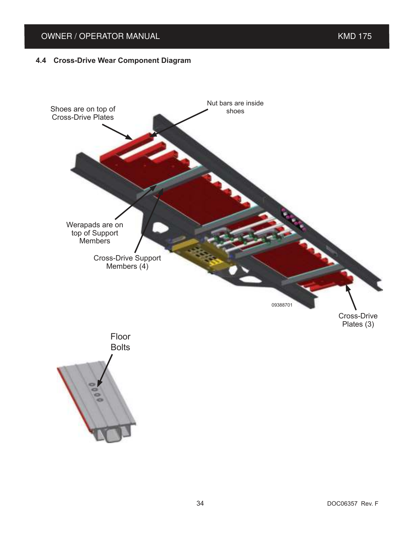## OWNER / OPERATOR MANUAL **KMD** 175

#### **4.4 Cross-Drive Wear Component Diagram**

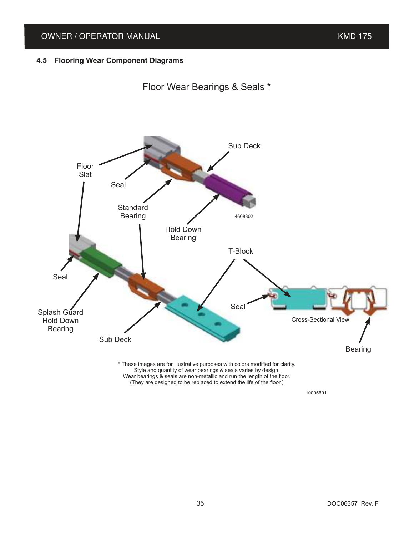#### **4.5 Flooring Wear Component Diagrams**

## Floor Wear Bearings & Seals \*

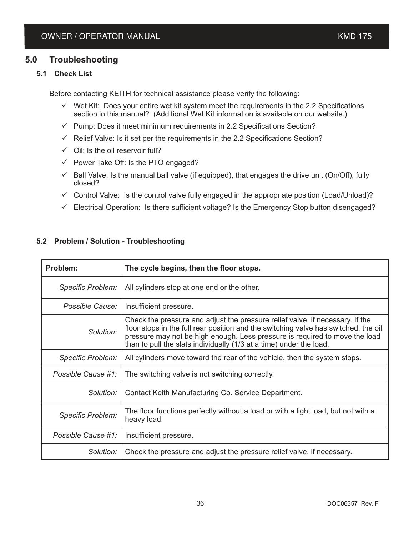### **5.0 Troubleshooting**

#### **5.1 Check List**

Before contacting KEITH for technical assistance please verify the following:

- $\checkmark$  Wet Kit: Does your entire wet kit system meet the requirements in the 2.2 Specifications section in this manual? (Additional Wet Kit information is available on our website.)
- $\checkmark$  Pump: Does it meet minimum requirements in 2.2 Specifications Section?
- $\checkmark$  Relief Valve: Is it set per the requirements in the 2.2 Specifications Section?
- $\checkmark$  Oil: Is the oil reservoir full?
- $\checkmark$  Power Take Off: Is the PTO engaged?
- $\checkmark$  Ball Valve: Is the manual ball valve (if equipped), that engages the drive unit (On/Off), fully closed?
- $\checkmark$  Control Valve: Is the control valve fully engaged in the appropriate position (Load/Unload)?
- $\checkmark$  Electrical Operation: Is there sufficient voltage? Is the Emergency Stop button disengaged?

| Problem:                 | The cycle begins, then the floor stops.                                                                                                                                                                                                                                                                                    |
|--------------------------|----------------------------------------------------------------------------------------------------------------------------------------------------------------------------------------------------------------------------------------------------------------------------------------------------------------------------|
| <b>Specific Problem:</b> | All cylinders stop at one end or the other.                                                                                                                                                                                                                                                                                |
| Possible Cause:          | Insufficient pressure.                                                                                                                                                                                                                                                                                                     |
| Solution:                | Check the pressure and adjust the pressure relief valve, if necessary. If the<br>floor stops in the full rear position and the switching valve has switched, the oil<br>pressure may not be high enough. Less pressure is required to move the load<br>than to pull the slats individually (1/3 at a time) under the load. |
| <b>Specific Problem:</b> | All cylinders move toward the rear of the vehicle, then the system stops.                                                                                                                                                                                                                                                  |
| Possible Cause #1:       | The switching valve is not switching correctly.                                                                                                                                                                                                                                                                            |
| Solution:                | Contact Keith Manufacturing Co. Service Department.                                                                                                                                                                                                                                                                        |
| Specific Problem:        | The floor functions perfectly without a load or with a light load, but not with a<br>heavy load.                                                                                                                                                                                                                           |
| Possible Cause #1:       | Insufficient pressure.                                                                                                                                                                                                                                                                                                     |
| Solution:                | Check the pressure and adjust the pressure relief valve, if necessary.                                                                                                                                                                                                                                                     |

#### **5.2 Problem / Solution - Troubleshooting**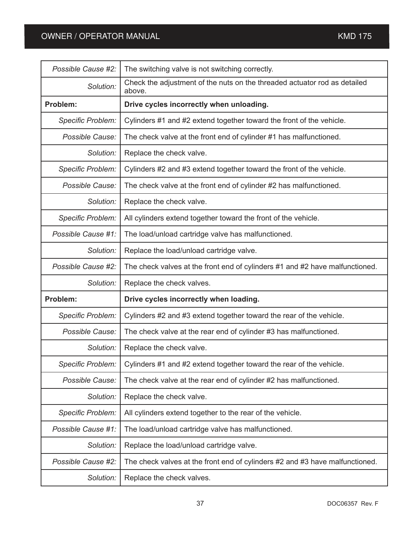| Possible Cause #2:       | The switching valve is not switching correctly.                                         |
|--------------------------|-----------------------------------------------------------------------------------------|
| Solution:                | Check the adjustment of the nuts on the threaded actuator rod as detailed<br>above.     |
| Problem:                 | Drive cycles incorrectly when unloading.                                                |
| <b>Specific Problem:</b> | Cylinders #1 and #2 extend together toward the front of the vehicle.                    |
| Possible Cause:          | The check valve at the front end of cylinder #1 has malfunctioned.                      |
| Solution:                | Replace the check valve.                                                                |
| Specific Problem:        | Cylinders #2 and #3 extend together toward the front of the vehicle.                    |
| Possible Cause:          | The check valve at the front end of cylinder #2 has malfunctioned.                      |
| Solution:                | Replace the check valve.                                                                |
| <b>Specific Problem:</b> | All cylinders extend together toward the front of the vehicle.                          |
| Possible Cause #1:       | The load/unload cartridge valve has malfunctioned.                                      |
| Solution:                | Replace the load/unload cartridge valve.                                                |
| Possible Cause #2:       | The check valves at the front end of cylinders #1 and #2 have malfunctioned.            |
|                          |                                                                                         |
| Solution:                | Replace the check valves.                                                               |
| Problem:                 | Drive cycles incorrectly when loading.                                                  |
| Specific Problem:        | Cylinders #2 and #3 extend together toward the rear of the vehicle.                     |
| Possible Cause:          | The check valve at the rear end of cylinder #3 has malfunctioned.                       |
| Solution:                | Replace the check valve.                                                                |
|                          | Specific Problem:   Cylinders #1 and #2 extend together toward the rear of the vehicle. |
| Possible Cause:          | The check valve at the rear end of cylinder #2 has malfunctioned.                       |
| Solution:                | Replace the check valve.                                                                |
| <b>Specific Problem:</b> | All cylinders extend together to the rear of the vehicle.                               |
| Possible Cause #1:       | The load/unload cartridge valve has malfunctioned.                                      |
| Solution:                | Replace the load/unload cartridge valve.                                                |
| Possible Cause #2:       | The check valves at the front end of cylinders #2 and #3 have malfunctioned.            |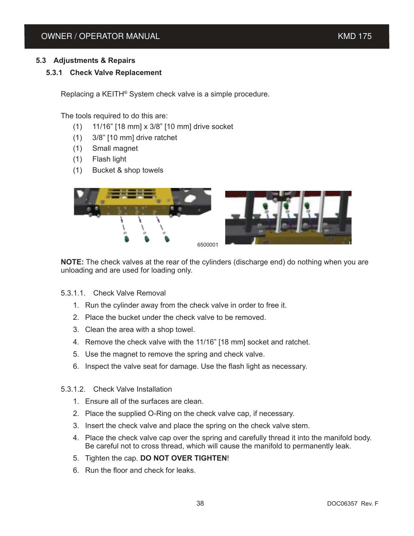#### **5.3 Adjustments & Repairs**

#### **5.3.1 Check Valve Replacement**

Replacing a KEITH® System check valve is a simple procedure.

The tools required to do this are:

- (1) 11/16" [18 mm] x 3/8" [10 mm] drive socket
- (1) 3/8" [10 mm] drive ratchet
- (1) Small magnet
- (1) Flash light
- (1) Bucket & shop towels



**NOTE:** The check valves at the rear of the cylinders (discharge end) do nothing when you are unloading and are used for loading only.

- 5.3.1.1. Check Valve Removal
	- 1. Run the cylinder away from the check valve in order to free it.
	- 2. Place the bucket under the check valve to be removed.
	- 3. Clean the area with a shop towel.
	- 4. Remove the check valve with the 11/16" [18 mm] socket and ratchet.
	- 5. Use the magnet to remove the spring and check valve.
	- 6. Inspect the valve seat for damage. Use the flash light as necessary.
- 5.3.1.2. Check Valve Installation
	- 1. Ensure all of the surfaces are clean.
	- 2. Place the supplied O-Ring on the check valve cap, if necessary.
	- 3. Insert the check valve and place the spring on the check valve stem.
	- 4. Place the check valve cap over the spring and carefully thread it into the manifold body. Be careful not to cross thread, which will cause the manifold to permanently leak.
	- 5. Tighten the cap. **DO NOT OVER TIGHTEN**!
	- 6. Run the floor and check for leaks.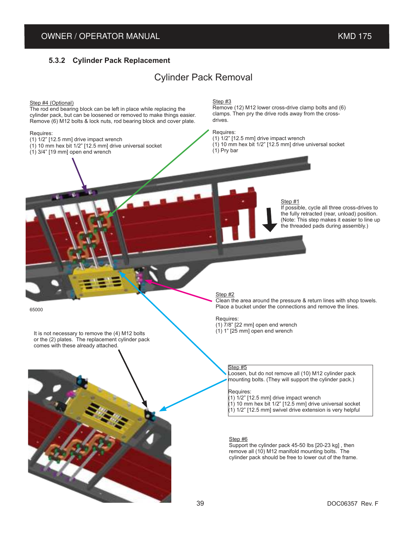#### **5.3.2 Cylinder Pack Replacement**

## Cylinder Pack Removal

Step #4 (Optional) The rod end bearing block can be left in place while replacing the cylinder pack, but can be loosened or removed to make things easier. Remove (6) M12 bolts & lock nuts, rod bearing block and cover plate. Requires:  $(1)$   $1/2$ "  $[12.5$  mm] drive impact wrench  $(1)$  10 mm hex bit 1/2" [12.5 mm] drive universal socket  $(1)$  3/4" [19 mm] open end wrench Step #3 Remove (12) M12 lower cross-drive clamp bolts and (6) clamps. Then pry the drive rods away from the crossdrives. Requires: (1) 1/2" [12.5 mm] drive impact wrench (1) 10 mm hex bit 1/2" [12.5 mm] drive universal socket (1) Pry bar Step #1 If possible, cycle all three cross-drives to the fully retracted (rear, unload) position. (Note: This step makes it easier to line up the threaded pads during assembly.) Step #2 Clean the area around the pressure & return lines with shop towels. Place a bucket under the connections and remove the lines. Requires: (1)  $7/8$ " [22 mm] open end wrench<br>(1) 1" [25 mm] open end wrench It is not necessary to remove the (4) M12 bolts or the (2) plates. The replacement cylinder pack comes with these already attached. Step #5 Loosen, but do not remove all (10) M12 cylinder pack mounting bolts. (They will support the cylinder pack.) Requires:  $(1)$  1/2" [12.5 mm] drive impact wrench  $(1)$  10 mm hex bit 1/2" [12.5 mm] drive universal socket  $(1)$  1/2" [12.5 mm] swivel drive extension is very helpful Step #6 Support the cylinder pack 45-50 lbs [20-23 kg] , then remove all (10) M12 manifold mounting bolts. The cylinder pack should be free to lower out of the frame. 65000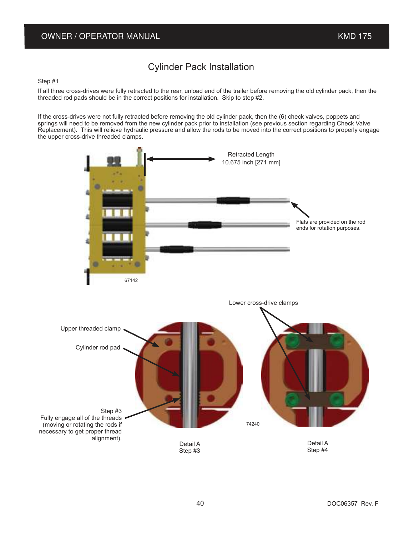## Cylinder Pack Installation

#### Step #1

If all three cross-drives were fully retracted to the rear, unload end of the trailer before removing the old cylinder pack, then the threaded rod pads should be in the correct positions for installation. Skip to step #2.

If the cross-drives were not fully retracted before removing the old cylinder pack, then the (6) check valves, poppets and springs will need to be removed from the new cylinder pack prior to installation (see previous section regarding Check Valve Replacement). This will relieve hydraulic pressure and allow the rods to be moved into the correct positions to properly engage the upper cross-drive threaded clamps.

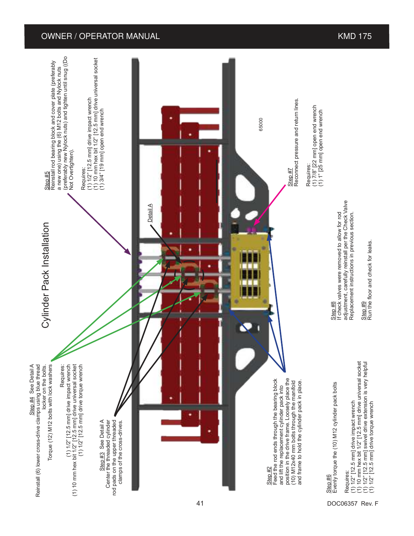#### OWNER / OPERATOR MANUAL **And Contain the Container of the Container Container and Container American Container American Container and Container and Container and Container and Container and Container and Container and Cont**



41 DOC06357 Rev. F